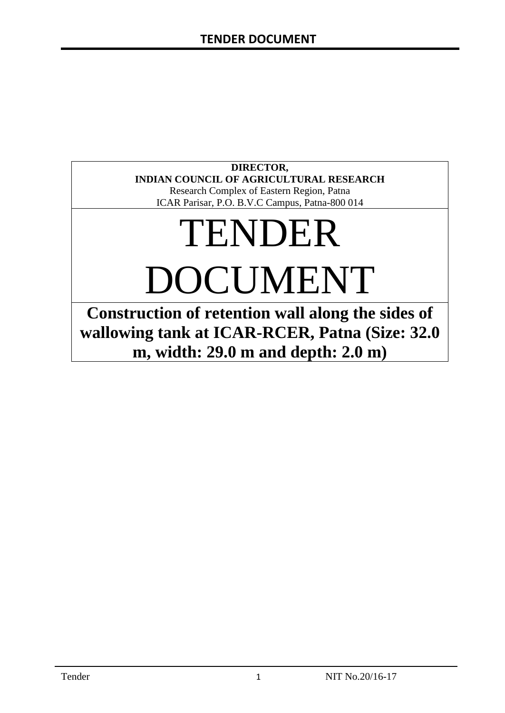# **DIRECTOR, INDIAN COUNCIL OF AGRICULTURAL RESEARCH**

Research Complex of Eastern Region, Patna ICAR Parisar, P.O. B.V.C Campus, Patna-800 014

# TENDER DOCUMENT

**Construction of retention wall along the sides of wallowing tank at ICAR-RCER, Patna (Size: 32.0 m, width: 29.0 m and depth: 2.0 m)**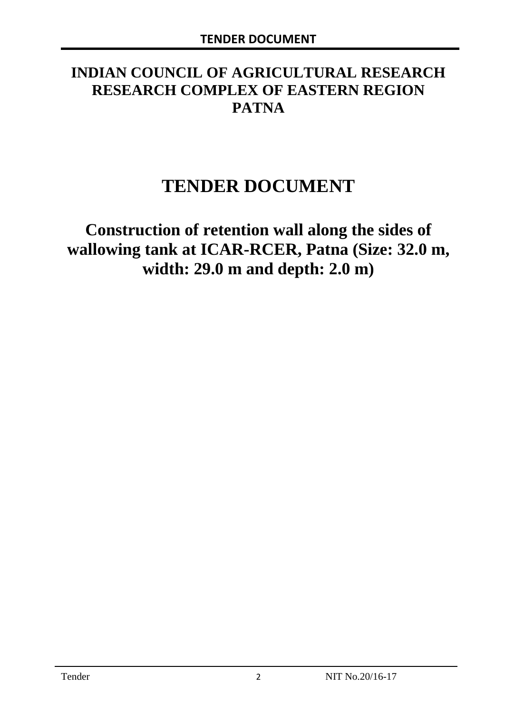# **INDIAN COUNCIL OF AGRICULTURAL RESEARCH RESEARCH COMPLEX OF EASTERN REGION PATNA**

# **TENDER DOCUMENT**

**Construction of retention wall along the sides of wallowing tank at ICAR-RCER, Patna (Size: 32.0 m, width: 29.0 m and depth: 2.0 m)**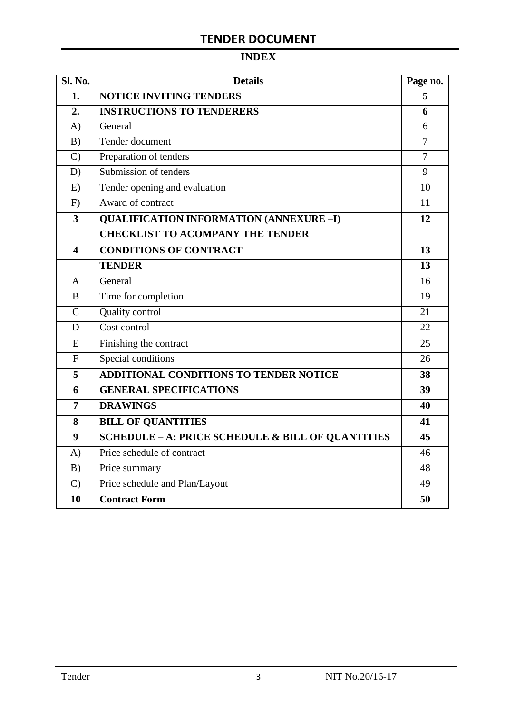# **INDEX**

| Sl. No.                 | <b>Details</b>                                    | Page no.       |
|-------------------------|---------------------------------------------------|----------------|
| 1.                      | <b>NOTICE INVITING TENDERS</b>                    |                |
| 2.                      | <b>INSTRUCTIONS TO TENDERERS</b>                  | 6              |
| A)                      | General                                           | 6              |
| B)                      | Tender document                                   | $\overline{7}$ |
| $\mathcal{C}$           | Preparation of tenders                            | $\overline{7}$ |
| D)                      | Submission of tenders                             | 9              |
| E)                      | Tender opening and evaluation                     | 10             |
| F)                      | Award of contract                                 | 11             |
| $\overline{\mathbf{3}}$ | <b>QUALIFICATION INFORMATION (ANNEXURE-I)</b>     | 12             |
|                         | <b>CHECKLIST TO ACOMPANY THE TENDER</b>           |                |
| 4                       | <b>CONDITIONS OF CONTRACT</b>                     | 13             |
|                         | <b>TENDER</b>                                     | 13             |
| $\overline{A}$          | General                                           | 16             |
| B                       | Time for completion                               | 19             |
| $\overline{C}$          | Quality control                                   | 21             |
| D                       | Cost control                                      | 22             |
| E                       | Finishing the contract                            | 25             |
| $\mathbf{F}$            | Special conditions                                | 26             |
| 5                       | <b>ADDITIONAL CONDITIONS TO TENDER NOTICE</b>     | 38             |
| 6                       | <b>GENERAL SPECIFICATIONS</b>                     | 39             |
| $\overline{7}$          | <b>DRAWINGS</b>                                   | 40             |
| 8                       | <b>BILL OF QUANTITIES</b>                         | 41             |
| 9                       | SCHEDULE - A: PRICE SCHEDULE & BILL OF QUANTITIES | 45             |
| A)                      | Price schedule of contract                        | 46             |
| B)                      | Price summary                                     | 48             |
| $\mathcal{C}$           | Price schedule and Plan/Layout                    | 49             |
| 10                      | <b>Contract Form</b>                              | 50             |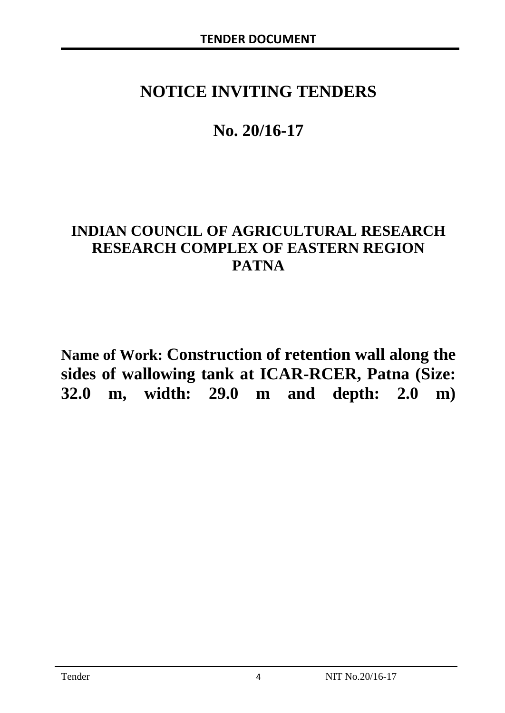# **NOTICE INVITING TENDERS**

# **No. 20/16-17**

# **INDIAN COUNCIL OF AGRICULTURAL RESEARCH RESEARCH COMPLEX OF EASTERN REGION PATNA**

**Name of Work: Construction of retention wall along the sides of wallowing tank at ICAR-RCER, Patna (Size: 32.0 m, width: 29.0 m and depth: 2.0 m)**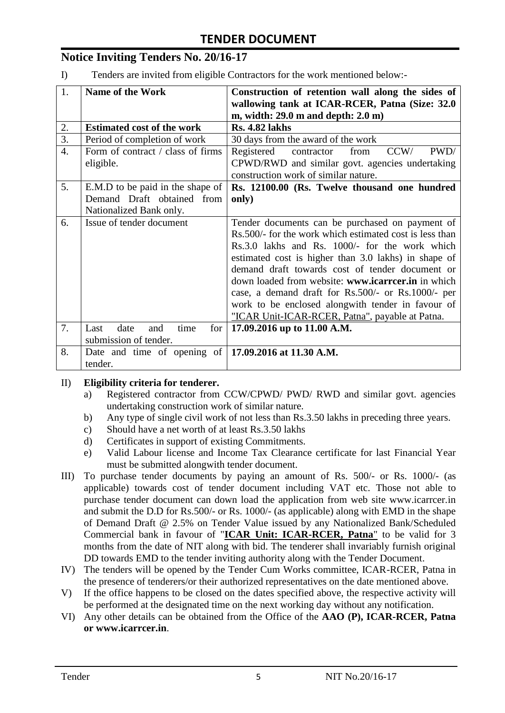# **Notice Inviting Tenders No. 20/16-17**

I) Tenders are invited from eligible Contractors for the work mentioned below:-

| 1.               | <b>Name of the Work</b>                                    | Construction of retention wall along the sides of<br>wallowing tank at ICAR-RCER, Patna (Size: 32.0) |  |
|------------------|------------------------------------------------------------|------------------------------------------------------------------------------------------------------|--|
|                  |                                                            | m, width: $29.0$ m and depth: $2.0$ m)                                                               |  |
| 2.               | <b>Rs. 4.82 lakhs</b><br><b>Estimated cost of the work</b> |                                                                                                      |  |
| $\overline{3}$ . | Period of completion of work                               | 30 days from the award of the work                                                                   |  |
| $\overline{4}$ . | Form of contract / class of firms                          | contractor<br>PWD/<br>Registered<br>from<br>CCW/                                                     |  |
|                  | eligible.                                                  | CPWD/RWD and similar govt. agencies undertaking                                                      |  |
|                  |                                                            | construction work of similar nature.                                                                 |  |
| 5.               | E.M.D to be paid in the shape of                           | Rs. 12100.00 (Rs. Twelve thousand one hundred                                                        |  |
|                  | Demand Draft obtained from                                 | only)                                                                                                |  |
|                  | Nationalized Bank only.                                    |                                                                                                      |  |
| 6.               | Issue of tender document                                   | Tender documents can be purchased on payment of                                                      |  |
|                  |                                                            | Rs.500/- for the work which estimated cost is less than                                              |  |
|                  |                                                            | Rs.3.0 lakhs and Rs. 1000/- for the work which                                                       |  |
|                  |                                                            | estimated cost is higher than 3.0 lakhs) in shape of                                                 |  |
|                  |                                                            | demand draft towards cost of tender document or                                                      |  |
|                  |                                                            | down loaded from website: www.icarreer.in in which                                                   |  |
|                  |                                                            | case, a demand draft for Rs.500/- or Rs.1000/- per                                                   |  |
|                  |                                                            | work to be enclosed alongwith tender in favour of                                                    |  |
|                  |                                                            | "ICAR Unit-ICAR-RCER, Patna", payable at Patna.                                                      |  |
| 7.               | Last<br>date<br>for<br>time<br>and                         | 17.09.2016 up to 11.00 A.M.                                                                          |  |
|                  | submission of tender.                                      |                                                                                                      |  |
| 8.               | Date and time of opening of   17.09.2016 at 11.30 A.M.     |                                                                                                      |  |
|                  | tender.                                                    |                                                                                                      |  |

#### II) **Eligibility criteria for tenderer.**

- a) Registered contractor from CCW/CPWD/ PWD/ RWD and similar govt. agencies undertaking construction work of similar nature.
- b) Any type of single civil work of not less than Rs.3.50 lakhs in preceding three years.
- c) Should have a net worth of at least Rs.3.50 lakhs
- d) Certificates in support of existing Commitments.
- e) Valid Labour license and Income Tax Clearance certificate for last Financial Year must be submitted alongwith tender document.
- III) To purchase tender documents by paying an amount of Rs. 500/- or Rs. 1000/- (as applicable) towards cost of tender document including VAT etc. Those not able to purchase tender document can down load the application from web site www.icarrcer.in and submit the D.D for Rs.500/- or Rs. 1000/- (as applicable) along with EMD in the shape of Demand Draft @ 2.5% on Tender Value issued by any Nationalized Bank/Scheduled Commercial bank in favour of "**ICAR Unit: ICAR-RCER, Patna**" to be valid for 3 months from the date of NIT along with bid. The tenderer shall invariably furnish original DD towards EMD to the tender inviting authority along with the Tender Document.
- IV) The tenders will be opened by the Tender Cum Works committee, ICAR-RCER, Patna in the presence of tenderers/or their authorized representatives on the date mentioned above.
- V) If the office happens to be closed on the dates specified above, the respective activity will be performed at the designated time on the next working day without any notification.
- VI) Any other details can be obtained from the Office of the **AAO (P), ICAR-RCER, Patna or www.icarrcer.in**.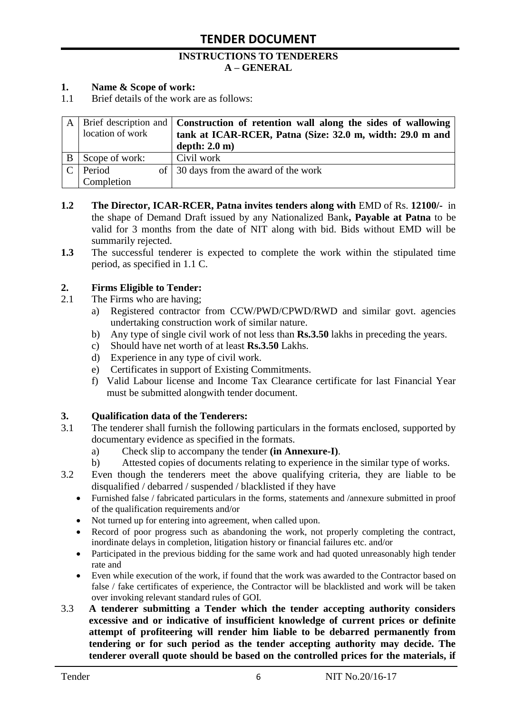#### **INSTRUCTIONS TO TENDERERS A – GENERAL**

#### **1. Name & Scope of work:**

1.1 Brief details of the work are as follows:

|                  | A   Brief description and   Construction of retention wall along the sides of wallowing |
|------------------|-----------------------------------------------------------------------------------------|
| location of work | tank at ICAR-RCER, Patna (Size: 32.0 m, width: 29.0 m and                               |
|                  | depth: $2.0 \text{ m}$ )                                                                |
| Scope of work:   | Civil work                                                                              |
| Period           | of $\vert$ 30 days from the award of the work                                           |
| Completion       |                                                                                         |

- **1.2 The Director, ICAR-RCER, Patna invites tenders along with** EMD of Rs. **12100/-** in the shape of Demand Draft issued by any Nationalized Bank**, Payable at Patna** to be valid for 3 months from the date of NIT along with bid. Bids without EMD will be summarily rejected.
- **1.3** The successful tenderer is expected to complete the work within the stipulated time period, as specified in 1.1 C.

#### **2. Firms Eligible to Tender:**

- 2.1 The Firms who are having;
	- a) Registered contractor from CCW/PWD/CPWD/RWD and similar govt. agencies undertaking construction work of similar nature.
	- b) Any type of single civil work of not less than **Rs.3.50** lakhs in preceding the years.
	- c) Should have net worth of at least **Rs.3.50** Lakhs.
	- d) Experience in any type of civil work.
	- e) Certificates in support of Existing Commitments.
	- f) Valid Labour license and Income Tax Clearance certificate for last Financial Year must be submitted alongwith tender document.

#### **3. Qualification data of the Tenderers:**

- 3.1 The tenderer shall furnish the following particulars in the formats enclosed, supported by documentary evidence as specified in the formats.
	- a) Check slip to accompany the tender **(in Annexure-I)**.
	- b) Attested copies of documents relating to experience in the similar type of works.
- 3.2 Even though the tenderers meet the above qualifying criteria, they are liable to be disqualified / debarred / suspended / blacklisted if they have
	- Furnished false / fabricated particulars in the forms, statements and /annexure submitted in proof of the qualification requirements and/or
	- Not turned up for entering into agreement, when called upon.
	- Record of poor progress such as abandoning the work, not properly completing the contract, inordinate delays in completion, litigation history or financial failures etc. and/or
	- Participated in the previous bidding for the same work and had quoted unreasonably high tender rate and
	- Even while execution of the work, if found that the work was awarded to the Contractor based on false / fake certificates of experience, the Contractor will be blacklisted and work will be taken over invoking relevant standard rules of GOI.
- 3.3 **A tenderer submitting a Tender which the tender accepting authority considers excessive and or indicative of insufficient knowledge of current prices or definite attempt of profiteering will render him liable to be debarred permanently from tendering or for such period as the tender accepting authority may decide. The tenderer overall quote should be based on the controlled prices for the materials, if**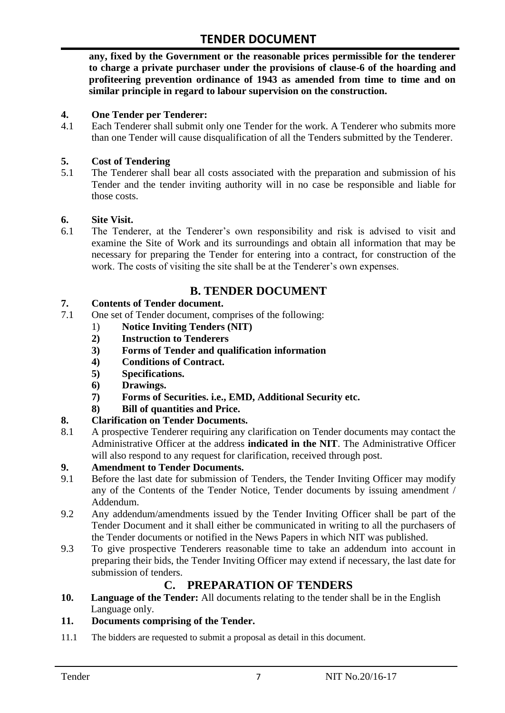**any, fixed by the Government or the reasonable prices permissible for the tenderer to charge a private purchaser under the provisions of clause-6 of the hoarding and profiteering prevention ordinance of 1943 as amended from time to time and on similar principle in regard to labour supervision on the construction.**

#### **4. One Tender per Tenderer:**

4.1 Each Tenderer shall submit only one Tender for the work. A Tenderer who submits more than one Tender will cause disqualification of all the Tenders submitted by the Tenderer.

#### **5. Cost of Tendering**

5.1 The Tenderer shall bear all costs associated with the preparation and submission of his Tender and the tender inviting authority will in no case be responsible and liable for those costs.

#### **6. Site Visit.**

6.1 The Tenderer, at the Tenderer"s own responsibility and risk is advised to visit and examine the Site of Work and its surroundings and obtain all information that may be necessary for preparing the Tender for entering into a contract, for construction of the work. The costs of visiting the site shall be at the Tenderer's own expenses.

# **B. TENDER DOCUMENT**

#### **7. Contents of Tender document.**

- 7.1 One set of Tender document, comprises of the following:
	- 1) **Notice Inviting Tenders (NIT)**
	- **2) Instruction to Tenderers**
	- **3) Forms of Tender and qualification information**
	- **4) Conditions of Contract.**
	- **5) Specifications.**
	- **6) Drawings.**
	- **7) Forms of Securities. i.e., EMD, Additional Security etc.**
	- **8) Bill of quantities and Price.**

#### **8. Clarification on Tender Documents.**

8.1 A prospective Tenderer requiring any clarification on Tender documents may contact the Administrative Officer at the address **indicated in the NIT**. The Administrative Officer will also respond to any request for clarification, received through post.

#### **9. Amendment to Tender Documents.**

- 9.1 Before the last date for submission of Tenders, the Tender Inviting Officer may modify any of the Contents of the Tender Notice, Tender documents by issuing amendment / Addendum.
- 9.2 Any addendum/amendments issued by the Tender Inviting Officer shall be part of the Tender Document and it shall either be communicated in writing to all the purchasers of the Tender documents or notified in the News Papers in which NIT was published.
- 9.3 To give prospective Tenderers reasonable time to take an addendum into account in preparing their bids, the Tender Inviting Officer may extend if necessary, the last date for submission of tenders.

### **C. PREPARATION OF TENDERS**

**10. Language of the Tender:** All documents relating to the tender shall be in the English Language only.

#### **11. Documents comprising of the Tender.**

11.1 The bidders are requested to submit a proposal as detail in this document.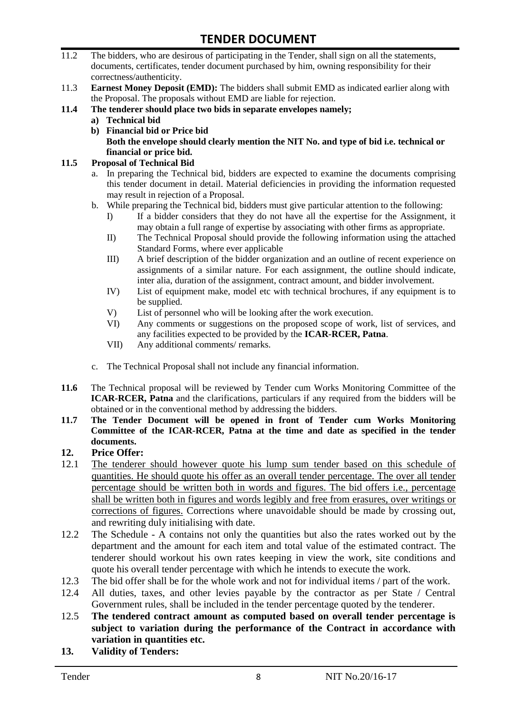- 11.2 The bidders, who are desirous of participating in the Tender, shall sign on all the statements, documents, certificates, tender document purchased by him, owning responsibility for their correctness/authenticity.
- 11.3 **Earnest Money Deposit (EMD):** The bidders shall submit EMD as indicated earlier along with the Proposal. The proposals without EMD are liable for rejection.
- **11.4 The tenderer should place two bids in separate envelopes namely;**
	- **a) Technical bid**
	- **b) Financial bid or Price bid Both the envelope should clearly mention the NIT No. and type of bid i.e. technical or financial or price bid.**

#### **11.5 Proposal of Technical Bid**

- a. In preparing the Technical bid, bidders are expected to examine the documents comprising this tender document in detail. Material deficiencies in providing the information requested may result in rejection of a Proposal.
- b. While preparing the Technical bid, bidders must give particular attention to the following:
	- I) If a bidder considers that they do not have all the expertise for the Assignment, it may obtain a full range of expertise by associating with other firms as appropriate.
	- II) The Technical Proposal should provide the following information using the attached Standard Forms, where ever applicable
	- III) A brief description of the bidder organization and an outline of recent experience on assignments of a similar nature. For each assignment, the outline should indicate, inter alia, duration of the assignment, contract amount, and bidder involvement.
	- IV) List of equipment make, model etc with technical brochures, if any equipment is to be supplied.
	- V) List of personnel who will be looking after the work execution.
	- VI) Any comments or suggestions on the proposed scope of work, list of services, and any facilities expected to be provided by the **ICAR-RCER, Patna**.
	- VII) Any additional comments/ remarks.
- c. The Technical Proposal shall not include any financial information.
- **11.6** The Technical proposal will be reviewed by Tender cum Works Monitoring Committee of the **ICAR-RCER, Patna** and the clarifications, particulars if any required from the bidders will be obtained or in the conventional method by addressing the bidders.
- **11.7 The Tender Document will be opened in front of Tender cum Works Monitoring Committee of the ICAR-RCER, Patna at the time and date as specified in the tender documents.**

#### **12. Price Offer:**

- 12.1 The tenderer should however quote his lump sum tender based on this schedule of quantities. He should quote his offer as an overall tender percentage. The over all tender percentage should be written both in words and figures. The bid offers i.e., percentage shall be written both in figures and words legibly and free from erasures, over writings or corrections of figures. Corrections where unavoidable should be made by crossing out, and rewriting duly initialising with date.
- 12.2 The Schedule A contains not only the quantities but also the rates worked out by the department and the amount for each item and total value of the estimated contract. The tenderer should workout his own rates keeping in view the work, site conditions and quote his overall tender percentage with which he intends to execute the work.
- 12.3 The bid offer shall be for the whole work and not for individual items / part of the work.
- 12.4 All duties, taxes, and other levies payable by the contractor as per State / Central Government rules, shall be included in the tender percentage quoted by the tenderer.
- 12.5 **The tendered contract amount as computed based on overall tender percentage is subject to variation during the performance of the Contract in accordance with variation in quantities etc.**
- **13. Validity of Tenders:**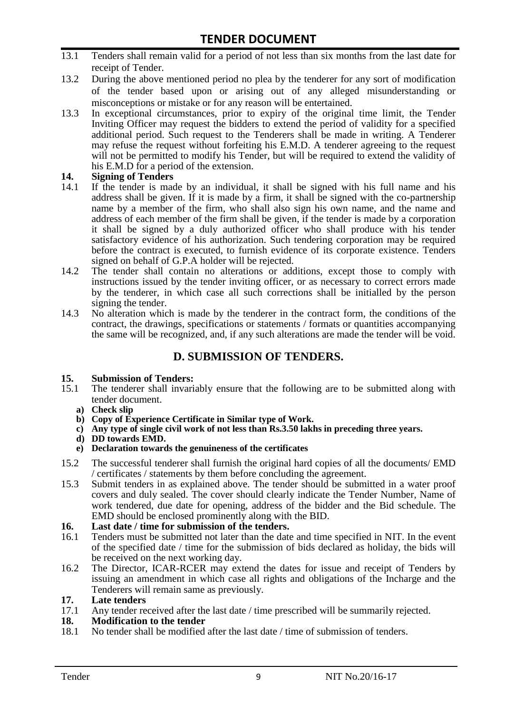- 13.1 Tenders shall remain valid for a period of not less than six months from the last date for receipt of Tender.
- 13.2 During the above mentioned period no plea by the tenderer for any sort of modification of the tender based upon or arising out of any alleged misunderstanding or misconceptions or mistake or for any reason will be entertained.
- 13.3 In exceptional circumstances, prior to expiry of the original time limit, the Tender Inviting Officer may request the bidders to extend the period of validity for a specified additional period. Such request to the Tenderers shall be made in writing. A Tenderer may refuse the request without forfeiting his E.M.D. A tenderer agreeing to the request will not be permitted to modify his Tender, but will be required to extend the validity of his E.M.D for a period of the extension.

# **14.** Signing of Tenders<br>14.1 If the tender is made

- If the tender is made by an individual, it shall be signed with his full name and his address shall be given. If it is made by a firm, it shall be signed with the co-partnership name by a member of the firm, who shall also sign his own name, and the name and address of each member of the firm shall be given, if the tender is made by a corporation it shall be signed by a duly authorized officer who shall produce with his tender satisfactory evidence of his authorization. Such tendering corporation may be required before the contract is executed, to furnish evidence of its corporate existence. Tenders signed on behalf of G.P.A holder will be rejected.
- 14.2 The tender shall contain no alterations or additions, except those to comply with instructions issued by the tender inviting officer, or as necessary to correct errors made by the tenderer, in which case all such corrections shall be initialled by the person signing the tender.
- 14.3 No alteration which is made by the tenderer in the contract form, the conditions of the contract, the drawings, specifications or statements / formats or quantities accompanying the same will be recognized, and, if any such alterations are made the tender will be void.

### **D. SUBMISSION OF TENDERS.**

#### **15. Submission of Tenders:**

- 15.1 The tenderer shall invariably ensure that the following are to be submitted along with tender document.
	- **a) Check slip**
	- **b) Copy of Experience Certificate in Similar type of Work.**
	- **c) Any type of single civil work of not less than Rs.3.50 lakhs in preceding three years.**
	- **d) DD towards EMD.**
	- **e) Declaration towards the genuineness of the certificates**
- 15.2 The successful tenderer shall furnish the original hard copies of all the documents/ EMD / certificates / statements by them before concluding the agreement.
- 15.3 Submit tenders in as explained above. The tender should be submitted in a water proof covers and duly sealed. The cover should clearly indicate the Tender Number, Name of work tendered, due date for opening, address of the bidder and the Bid schedule. The EMD should be enclosed prominently along with the BID.
- **16. Last date / time for submission of the tenders.**
- 16.1 Tenders must be submitted not later than the date and time specified in NIT. In the event of the specified date / time for the submission of bids declared as holiday, the bids will be received on the next working day.
- 16.2 The Director, ICAR-RCER may extend the dates for issue and receipt of Tenders by issuing an amendment in which case all rights and obligations of the Incharge and the Tenderers will remain same as previously.

#### **17. Late tenders**

17.1 Any tender received after the last date / time prescribed will be summarily rejected.

#### **18. Modification to the tender**

18.1 No tender shall be modified after the last date / time of submission of tenders.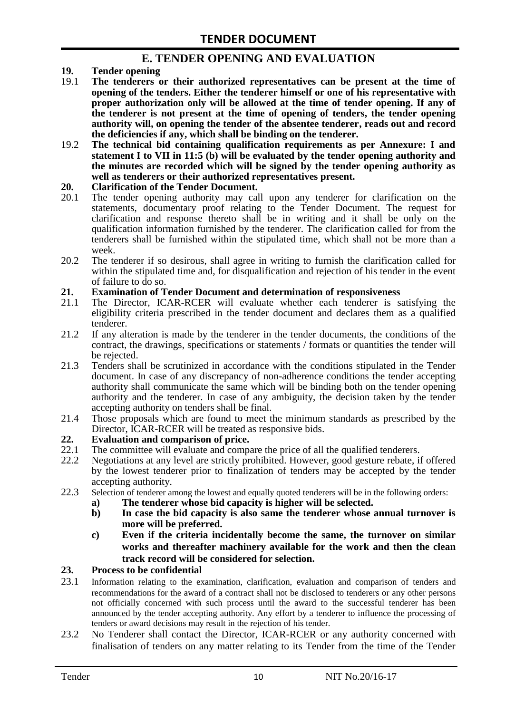### **E. TENDER OPENING AND EVALUATION**

- **19. Tender opening**
- 19.1 **The tenderers or their authorized representatives can be present at the time of opening of the tenders. Either the tenderer himself or one of his representative with proper authorization only will be allowed at the time of tender opening. If any of the tenderer is not present at the time of opening of tenders, the tender opening authority will, on opening the tender of the absentee tenderer, reads out and record the deficiencies if any, which shall be binding on the tenderer.**
- 19.2 **The technical bid containing qualification requirements as per Annexure: I and statement I to VII in 11:5 (b) will be evaluated by the tender opening authority and the minutes are recorded which will be signed by the tender opening authority as well as tenderers or their authorized representatives present.**

#### **20. Clarification of the Tender Document.**

- 20.1 The tender opening authority may call upon any tenderer for clarification on the statements, documentary proof relating to the Tender Document. The request for clarification and response thereto shall be in writing and it shall be only on the qualification information furnished by the tenderer. The clarification called for from the tenderers shall be furnished within the stipulated time, which shall not be more than a week.
- 20.2 The tenderer if so desirous, shall agree in writing to furnish the clarification called for within the stipulated time and, for disqualification and rejection of his tender in the event of failure to do so.

# **21. Examination of Tender Document and determination of responsiveness**

- 21.1 The Director, ICAR-RCER will evaluate whether each tenderer is satisfying the eligibility criteria prescribed in the tender document and declares them as a qualified tenderer.
- 21.2 If any alteration is made by the tenderer in the tender documents, the conditions of the contract, the drawings, specifications or statements / formats or quantities the tender will be rejected.
- 21.3 Tenders shall be scrutinized in accordance with the conditions stipulated in the Tender document. In case of any discrepancy of non-adherence conditions the tender accepting authority shall communicate the same which will be binding both on the tender opening authority and the tenderer. In case of any ambiguity, the decision taken by the tender accepting authority on tenders shall be final.
- 21.4 Those proposals which are found to meet the minimum standards as prescribed by the Director, ICAR-RCER will be treated as responsive bids.

# **22. Evaluation and comparison of price.**

- The committee will evaluate and compare the price of all the qualified tenderers.
- 22.2 Negotiations at any level are strictly prohibited. However, good gesture rebate, if offered by the lowest tenderer prior to finalization of tenders may be accepted by the tender accepting authority.
- 22.3 Selection of tenderer among the lowest and equally quoted tenderers will be in the following orders:
	- **a) The tenderer whose bid capacity is higher will be selected.**
	- **b) In case the bid capacity is also same the tenderer whose annual turnover is more will be preferred.**
	- **c) Even if the criteria incidentally become the same, the turnover on similar works and thereafter machinery available for the work and then the clean track record will be considered for selection.**

#### **23. Process to be confidential**

- 23.1 Information relating to the examination, clarification, evaluation and comparison of tenders and recommendations for the award of a contract shall not be disclosed to tenderers or any other persons not officially concerned with such process until the award to the successful tenderer has been announced by the tender accepting authority. Any effort by a tenderer to influence the processing of tenders or award decisions may result in the rejection of his tender.
- 23.2 No Tenderer shall contact the Director, ICAR-RCER or any authority concerned with finalisation of tenders on any matter relating to its Tender from the time of the Tender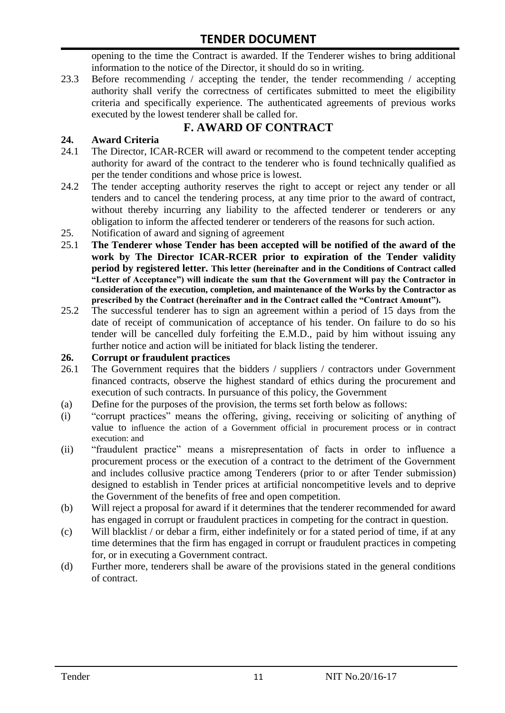opening to the time the Contract is awarded. If the Tenderer wishes to bring additional information to the notice of the Director, it should do so in writing.

23.3 Before recommending / accepting the tender, the tender recommending / accepting authority shall verify the correctness of certificates submitted to meet the eligibility criteria and specifically experience. The authenticated agreements of previous works executed by the lowest tenderer shall be called for.

# **F. AWARD OF CONTRACT**

### **24. Award Criteria**

- 24.1 The Director, ICAR-RCER will award or recommend to the competent tender accepting authority for award of the contract to the tenderer who is found technically qualified as per the tender conditions and whose price is lowest.
- 24.2 The tender accepting authority reserves the right to accept or reject any tender or all tenders and to cancel the tendering process, at any time prior to the award of contract, without thereby incurring any liability to the affected tenderer or tenderers or any obligation to inform the affected tenderer or tenderers of the reasons for such action.
- 25. Notification of award and signing of agreement
- 25.1 **The Tenderer whose Tender has been accepted will be notified of the award of the work by The Director ICAR-RCER prior to expiration of the Tender validity period by registered letter. This letter (hereinafter and in the Conditions of Contract called "Letter of Acceptance") will indicate the sum that the Government will pay the Contractor in consideration of the execution, completion, and maintenance of the Works by the Contractor as prescribed by the Contract (hereinafter and in the Contract called the "Contract Amount").**
- 25.2 The successful tenderer has to sign an agreement within a period of 15 days from the date of receipt of communication of acceptance of his tender. On failure to do so his tender will be cancelled duly forfeiting the E.M.D., paid by him without issuing any further notice and action will be initiated for black listing the tenderer.

#### **26. Corrupt or fraudulent practices**

- 26.1 The Government requires that the bidders / suppliers / contractors under Government financed contracts, observe the highest standard of ethics during the procurement and execution of such contracts. In pursuance of this policy, the Government
- (a) Define for the purposes of the provision, the terms set forth below as follows:
- (i) "corrupt practices" means the offering, giving, receiving or soliciting of anything of value to influence the action of a Government official in procurement process or in contract execution: and
- (ii) "fraudulent practice" means a misrepresentation of facts in order to influence a procurement process or the execution of a contract to the detriment of the Government and includes collusive practice among Tenderers (prior to or after Tender submission) designed to establish in Tender prices at artificial noncompetitive levels and to deprive the Government of the benefits of free and open competition.
- (b) Will reject a proposal for award if it determines that the tenderer recommended for award has engaged in corrupt or fraudulent practices in competing for the contract in question.
- (c) Will blacklist / or debar a firm, either indefinitely or for a stated period of time, if at any time determines that the firm has engaged in corrupt or fraudulent practices in competing for, or in executing a Government contract.
- (d) Further more, tenderers shall be aware of the provisions stated in the general conditions of contract.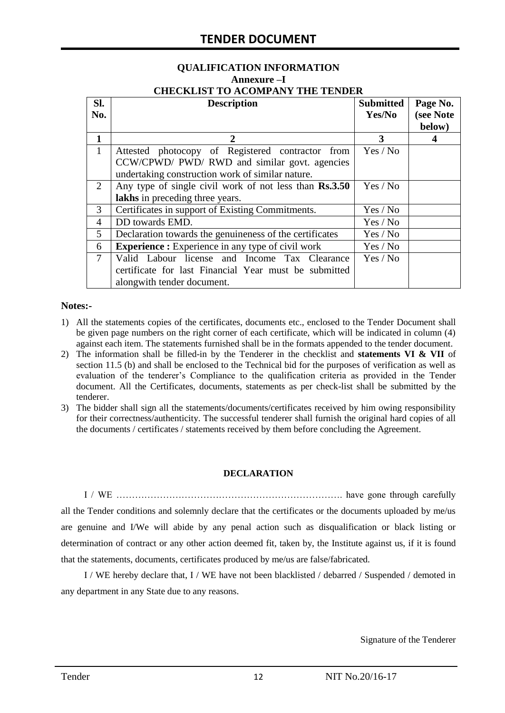# **QUALIFICATION INFORMATION Annexure –I**

| <b>CHECKLIST TO ACOMPANY THE TENDER</b> |  |  |  |  |
|-----------------------------------------|--|--|--|--|
|                                         |  |  |  |  |

| SI.<br>No.   | <b>Description</b>                                                                                                                                    | <b>Submitted</b><br>Yes/No | Page No.<br>(see Note<br>below) |
|--------------|-------------------------------------------------------------------------------------------------------------------------------------------------------|----------------------------|---------------------------------|
| 1            | 2                                                                                                                                                     | 3                          | 4                               |
| $\mathbf{1}$ | Attested photocopy of Registered contractor from<br>CCW/CPWD/ PWD/ RWD and similar govt. agencies<br>undertaking construction work of similar nature. | Yes / No                   |                                 |
| 2            | Any type of single civil work of not less than Rs.3.50<br>Yes / No<br>lakhs in preceding three years.                                                 |                            |                                 |
| 3            | Certificates in support of Existing Commitments.                                                                                                      | Yes / No                   |                                 |
| 4            | DD towards EMD.<br>Yes / No                                                                                                                           |                            |                                 |
| 5            | Declaration towards the genuineness of the certificates<br>Yes / No                                                                                   |                            |                                 |
| 6            | <b>Experience :</b> Experience in any type of civil work<br>Yes / No                                                                                  |                            |                                 |
| $\tau$       | Valid Labour license and Income Tax Clearance<br>certificate for last Financial Year must be submitted<br>alongwith tender document.                  | Yes / No                   |                                 |

#### **Notes:-**

- 1) All the statements copies of the certificates, documents etc., enclosed to the Tender Document shall be given page numbers on the right corner of each certificate, which will be indicated in column (4) against each item. The statements furnished shall be in the formats appended to the tender document.
- 2) The information shall be filled-in by the Tenderer in the checklist and **statements VI & VII** of section 11.5 (b) and shall be enclosed to the Technical bid for the purposes of verification as well as evaluation of the tenderer"s Compliance to the qualification criteria as provided in the Tender document. All the Certificates, documents, statements as per check-list shall be submitted by the tenderer.
- 3) The bidder shall sign all the statements/documents/certificates received by him owing responsibility for their correctness/authenticity. The successful tenderer shall furnish the original hard copies of all the documents / certificates / statements received by them before concluding the Agreement.

#### **DECLARATION**

I / WE ………………………………………………………………. have gone through carefully all the Tender conditions and solemnly declare that the certificates or the documents uploaded by me/us are genuine and I/We will abide by any penal action such as disqualification or black listing or determination of contract or any other action deemed fit, taken by, the Institute against us, if it is found that the statements, documents, certificates produced by me/us are false/fabricated.

I / WE hereby declare that, I / WE have not been blacklisted / debarred / Suspended / demoted in any department in any State due to any reasons.

Signature of the Tenderer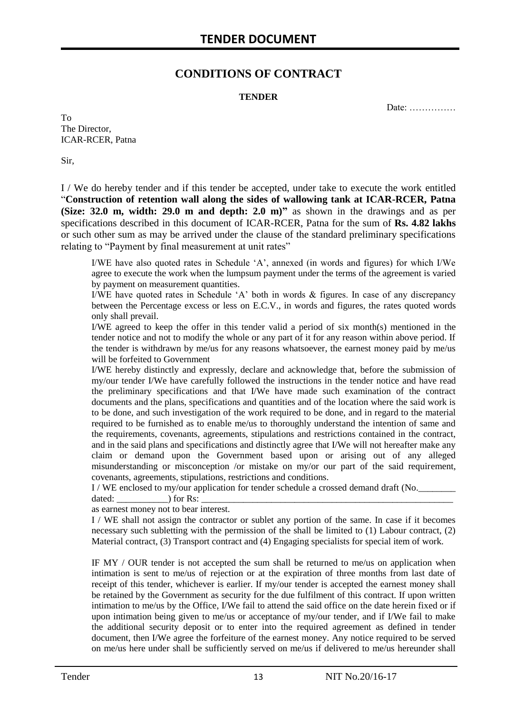### **CONDITIONS OF CONTRACT**

#### **TENDER**

Date: ……………

To The Director, ICAR-RCER, Patna

Sir,

I / We do hereby tender and if this tender be accepted, under take to execute the work entitled "**Construction of retention wall along the sides of wallowing tank at ICAR-RCER, Patna (Size: 32.0 m, width: 29.0 m and depth: 2.0 m)"** as shown in the drawings and as per specifications described in this document of ICAR-RCER, Patna for the sum of **Rs. 4.82 lakhs** or such other sum as may be arrived under the clause of the standard preliminary specifications relating to "Payment by final measurement at unit rates"

I/WE have also quoted rates in Schedule "A", annexed (in words and figures) for which I/We agree to execute the work when the lumpsum payment under the terms of the agreement is varied by payment on measurement quantities.

I/WE have quoted rates in Schedule "A" both in words & figures. In case of any discrepancy between the Percentage excess or less on E.C.V., in words and figures, the rates quoted words only shall prevail.

I/WE agreed to keep the offer in this tender valid a period of six month(s) mentioned in the tender notice and not to modify the whole or any part of it for any reason within above period. If the tender is withdrawn by me/us for any reasons whatsoever, the earnest money paid by me/us will be forfeited to Government

I/WE hereby distinctly and expressly, declare and acknowledge that, before the submission of my/our tender I/We have carefully followed the instructions in the tender notice and have read the preliminary specifications and that I/We have made such examination of the contract documents and the plans, specifications and quantities and of the location where the said work is to be done, and such investigation of the work required to be done, and in regard to the material required to be furnished as to enable me/us to thoroughly understand the intention of same and the requirements, covenants, agreements, stipulations and restrictions contained in the contract, and in the said plans and specifications and distinctly agree that I/We will not hereafter make any claim or demand upon the Government based upon or arising out of any alleged misunderstanding or misconception /or mistake on my/or our part of the said requirement, covenants, agreements, stipulations, restrictions and conditions.

I / WE enclosed to my/our application for tender schedule a crossed demand draft (No.

dated:  $\qquad \qquad$  ) for Rs:

as earnest money not to bear interest.

I / WE shall not assign the contractor or sublet any portion of the same. In case if it becomes necessary such subletting with the permission of the shall be limited to (1) Labour contract, (2) Material contract, (3) Transport contract and (4) Engaging specialists for special item of work.

IF MY / OUR tender is not accepted the sum shall be returned to me/us on application when intimation is sent to me/us of rejection or at the expiration of three months from last date of receipt of this tender, whichever is earlier. If my/our tender is accepted the earnest money shall be retained by the Government as security for the due fulfilment of this contract. If upon written intimation to me/us by the Office, I/We fail to attend the said office on the date herein fixed or if upon intimation being given to me/us or acceptance of my/our tender, and if I/We fail to make the additional security deposit or to enter into the required agreement as defined in tender document, then I/We agree the forfeiture of the earnest money. Any notice required to be served on me/us here under shall be sufficiently served on me/us if delivered to me/us hereunder shall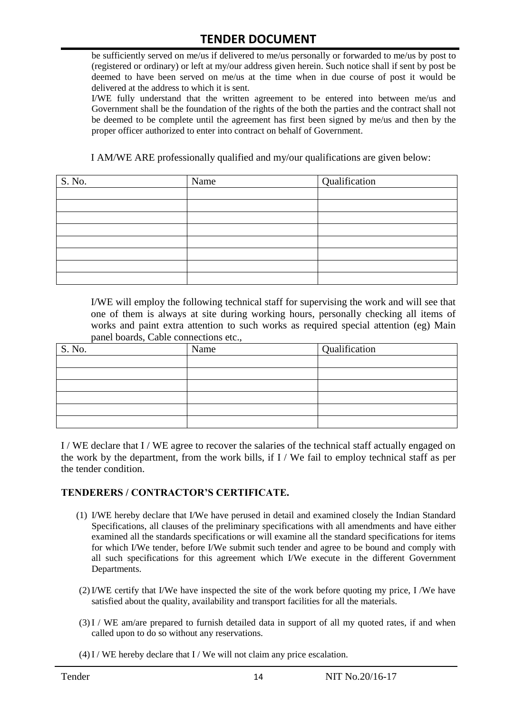be sufficiently served on me/us if delivered to me/us personally or forwarded to me/us by post to (registered or ordinary) or left at my/our address given herein. Such notice shall if sent by post be deemed to have been served on me/us at the time when in due course of post it would be delivered at the address to which it is sent.

I/WE fully understand that the written agreement to be entered into between me/us and Government shall be the foundation of the rights of the both the parties and the contract shall not be deemed to be complete until the agreement has first been signed by me/us and then by the proper officer authorized to enter into contract on behalf of Government.

I AM/WE ARE professionally qualified and my/our qualifications are given below:

| S. No. | Name | Qualification |
|--------|------|---------------|
|        |      |               |
|        |      |               |
|        |      |               |
|        |      |               |
|        |      |               |
|        |      |               |
|        |      |               |
|        |      |               |

I/WE will employ the following technical staff for supervising the work and will see that one of them is always at site during working hours, personally checking all items of works and paint extra attention to such works as required special attention (eg) Main panel boards, Cable connections etc.,

| S. No. | Name | Qualification |
|--------|------|---------------|
|        |      |               |
|        |      |               |
|        |      |               |
|        |      |               |
|        |      |               |
|        |      |               |

I / WE declare that I / WE agree to recover the salaries of the technical staff actually engaged on the work by the department, from the work bills, if I / We fail to employ technical staff as per the tender condition.

#### **TENDERERS / CONTRACTOR'S CERTIFICATE.**

- (1) I/WE hereby declare that I/We have perused in detail and examined closely the Indian Standard Specifications, all clauses of the preliminary specifications with all amendments and have either examined all the standards specifications or will examine all the standard specifications for items for which I/We tender, before I/We submit such tender and agree to be bound and comply with all such specifications for this agreement which I/We execute in the different Government Departments.
- (2)I/WE certify that I/We have inspected the site of the work before quoting my price, I /We have satisfied about the quality, availability and transport facilities for all the materials.
- (3)I / WE am/are prepared to furnish detailed data in support of all my quoted rates, if and when called upon to do so without any reservations.
- $(4)$  I / WE hereby declare that I / We will not claim any price escalation.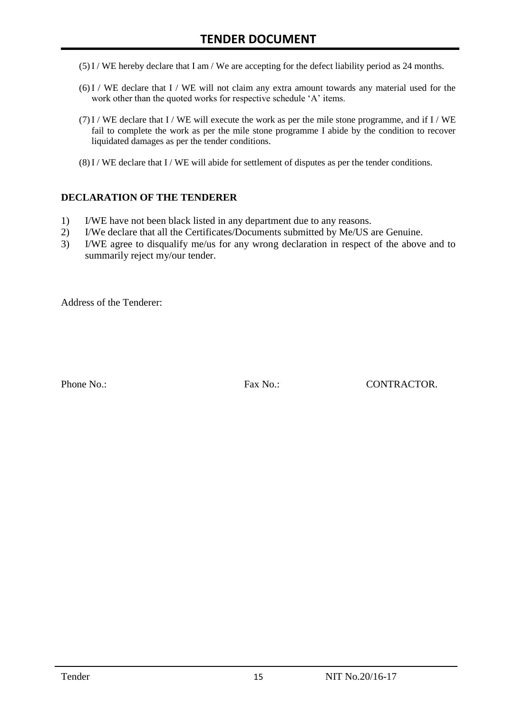- (5)I / WE hereby declare that I am / We are accepting for the defect liability period as 24 months.
- (6)I / WE declare that I / WE will not claim any extra amount towards any material used for the work other than the quoted works for respective schedule 'A' items.
- $(7)$  I / WE declare that I / WE will execute the work as per the mile stone programme, and if I / WE fail to complete the work as per the mile stone programme I abide by the condition to recover liquidated damages as per the tender conditions.
- $(8)$  I / WE declare that I / WE will abide for settlement of disputes as per the tender conditions.

#### **DECLARATION OF THE TENDERER**

- 1) I/WE have not been black listed in any department due to any reasons.
- 2) I/We declare that all the Certificates/Documents submitted by Me/US are Genuine.
- 3) I/WE agree to disqualify me/us for any wrong declaration in respect of the above and to summarily reject my/our tender.

Address of the Tenderer:

Phone No.: Fax No.: CONTRACTOR.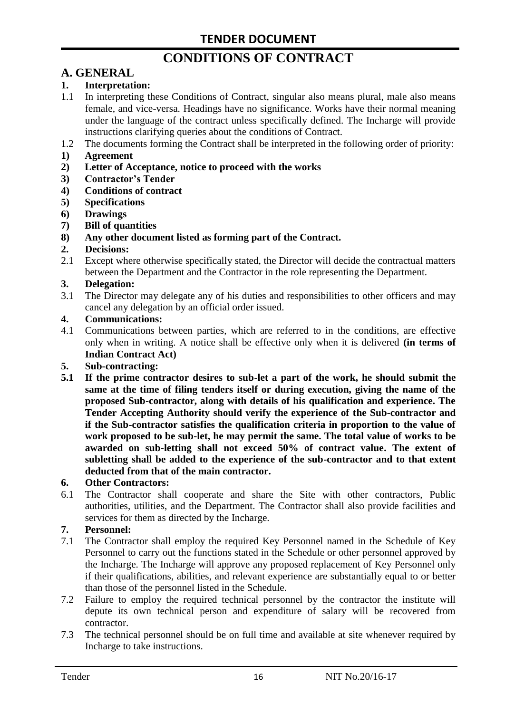# **CONDITIONS OF CONTRACT**

# **A. GENERAL**

#### **1. Interpretation:**

- 1.1 In interpreting these Conditions of Contract, singular also means plural, male also means female, and vice-versa. Headings have no significance. Works have their normal meaning under the language of the contract unless specifically defined. The Incharge will provide instructions clarifying queries about the conditions of Contract.
- 1.2 The documents forming the Contract shall be interpreted in the following order of priority:
- **1) Agreement**
- **2) Letter of Acceptance, notice to proceed with the works**
- **3) Contractor's Tender**
- **4) Conditions of contract**
- **5) Specifications**
- **6) Drawings**
- **7) Bill of quantities**
- **8) Any other document listed as forming part of the Contract.**

#### **2. Decisions:**

2.1 Except where otherwise specifically stated, the Director will decide the contractual matters between the Department and the Contractor in the role representing the Department.

#### **3. Delegation:**

3.1 The Director may delegate any of his duties and responsibilities to other officers and may cancel any delegation by an official order issued.

#### **4. Communications:**

4.1 Communications between parties, which are referred to in the conditions, are effective only when in writing. A notice shall be effective only when it is delivered **(in terms of Indian Contract Act)**

#### **5. Sub-contracting:**

**5.1 If the prime contractor desires to sub-let a part of the work, he should submit the same at the time of filing tenders itself or during execution, giving the name of the proposed Sub-contractor, along with details of his qualification and experience. The Tender Accepting Authority should verify the experience of the Sub-contractor and if the Sub-contractor satisfies the qualification criteria in proportion to the value of work proposed to be sub-let, he may permit the same. The total value of works to be awarded on sub-letting shall not exceed 50% of contract value. The extent of subletting shall be added to the experience of the sub-contractor and to that extent deducted from that of the main contractor.**

#### **6. Other Contractors:**

6.1 The Contractor shall cooperate and share the Site with other contractors, Public authorities, utilities, and the Department. The Contractor shall also provide facilities and services for them as directed by the Incharge.

#### **7. Personnel:**

- 7.1 The Contractor shall employ the required Key Personnel named in the Schedule of Key Personnel to carry out the functions stated in the Schedule or other personnel approved by the Incharge. The Incharge will approve any proposed replacement of Key Personnel only if their qualifications, abilities, and relevant experience are substantially equal to or better than those of the personnel listed in the Schedule.
- 7.2 Failure to employ the required technical personnel by the contractor the institute will depute its own technical person and expenditure of salary will be recovered from contractor.
- 7.3 The technical personnel should be on full time and available at site whenever required by Incharge to take instructions.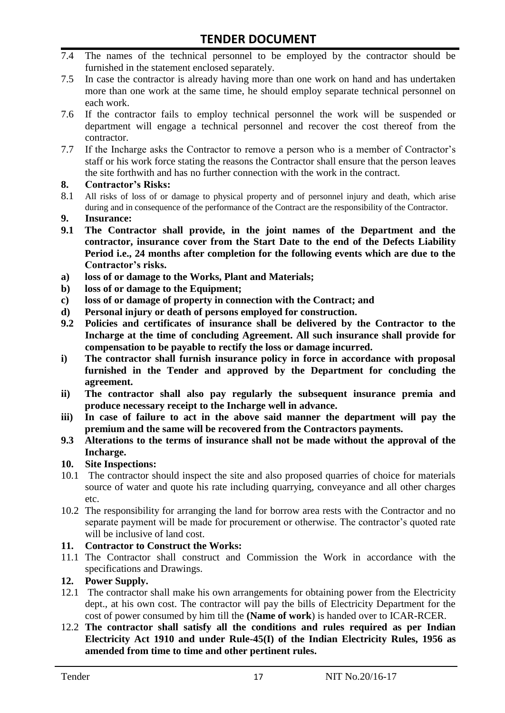- 7.4 The names of the technical personnel to be employed by the contractor should be furnished in the statement enclosed separately.
- 7.5 In case the contractor is already having more than one work on hand and has undertaken more than one work at the same time, he should employ separate technical personnel on each work.
- 7.6 If the contractor fails to employ technical personnel the work will be suspended or department will engage a technical personnel and recover the cost thereof from the contractor.
- 7.7 If the Incharge asks the Contractor to remove a person who is a member of Contractor"s staff or his work force stating the reasons the Contractor shall ensure that the person leaves the site forthwith and has no further connection with the work in the contract.

#### **8. Contractor's Risks:**

- 8.1 All risks of loss of or damage to physical property and of personnel injury and death, which arise during and in consequence of the performance of the Contract are the responsibility of the Contractor.
- **9. Insurance:**
- **9.1 The Contractor shall provide, in the joint names of the Department and the contractor, insurance cover from the Start Date to the end of the Defects Liability Period i.e., 24 months after completion for the following events which are due to the Contractor's risks.**
- **a) loss of or damage to the Works, Plant and Materials;**
- **b) loss of or damage to the Equipment;**
- **c) loss of or damage of property in connection with the Contract; and**
- **d) Personal injury or death of persons employed for construction.**
- **9.2 Policies and certificates of insurance shall be delivered by the Contractor to the Incharge at the time of concluding Agreement. All such insurance shall provide for compensation to be payable to rectify the loss or damage incurred.**
- **i) The contractor shall furnish insurance policy in force in accordance with proposal furnished in the Tender and approved by the Department for concluding the agreement.**
- **ii) The contractor shall also pay regularly the subsequent insurance premia and produce necessary receipt to the Incharge well in advance.**
- **iii) In case of failure to act in the above said manner the department will pay the premium and the same will be recovered from the Contractors payments.**
- **9.3 Alterations to the terms of insurance shall not be made without the approval of the Incharge.**

#### **10. Site Inspections:**

- 10.1 The contractor should inspect the site and also proposed quarries of choice for materials source of water and quote his rate including quarrying, conveyance and all other charges etc.
- 10.2 The responsibility for arranging the land for borrow area rests with the Contractor and no separate payment will be made for procurement or otherwise. The contractor's quoted rate will be inclusive of land cost.

#### **11. Contractor to Construct the Works:**

11.1 The Contractor shall construct and Commission the Work in accordance with the specifications and Drawings.

#### **12. Power Supply.**

- 12.1 The contractor shall make his own arrangements for obtaining power from the Electricity dept., at his own cost. The contractor will pay the bills of Electricity Department for the cost of power consumed by him till the **(Name of work**) is handed over to ICAR-RCER.
- 12.2 **The contractor shall satisfy all the conditions and rules required as per Indian Electricity Act 1910 and under Rule-45(I) of the Indian Electricity Rules, 1956 as amended from time to time and other pertinent rules.**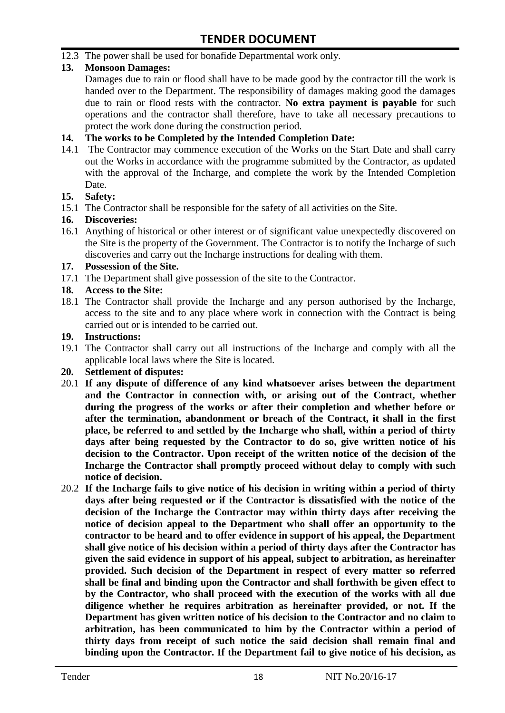12.3 The power shall be used for bonafide Departmental work only.

#### **13. Monsoon Damages:**

Damages due to rain or flood shall have to be made good by the contractor till the work is handed over to the Department. The responsibility of damages making good the damages due to rain or flood rests with the contractor. **No extra payment is payable** for such operations and the contractor shall therefore, have to take all necessary precautions to protect the work done during the construction period.

#### **14. The works to be Completed by the Intended Completion Date:**

14.1 The Contractor may commence execution of the Works on the Start Date and shall carry out the Works in accordance with the programme submitted by the Contractor, as updated with the approval of the Incharge, and complete the work by the Intended Completion Date.

#### **15. Safety:**

15.1 The Contractor shall be responsible for the safety of all activities on the Site.

#### **16. Discoveries:**

16.1 Anything of historical or other interest or of significant value unexpectedly discovered on the Site is the property of the Government. The Contractor is to notify the Incharge of such discoveries and carry out the Incharge instructions for dealing with them.

#### **17. Possession of the Site.**

17.1 The Department shall give possession of the site to the Contractor.

#### **18. Access to the Site:**

18.1 The Contractor shall provide the Incharge and any person authorised by the Incharge, access to the site and to any place where work in connection with the Contract is being carried out or is intended to be carried out.

#### **19. Instructions:**

- 19.1 The Contractor shall carry out all instructions of the Incharge and comply with all the applicable local laws where the Site is located.
- **20. Settlement of disputes:**
- 20.1 **If any dispute of difference of any kind whatsoever arises between the department and the Contractor in connection with, or arising out of the Contract, whether during the progress of the works or after their completion and whether before or after the termination, abandonment or breach of the Contract, it shall in the first place, be referred to and settled by the Incharge who shall, within a period of thirty days after being requested by the Contractor to do so, give written notice of his decision to the Contractor. Upon receipt of the written notice of the decision of the Incharge the Contractor shall promptly proceed without delay to comply with such notice of decision.**
- 20.2 **If the Incharge fails to give notice of his decision in writing within a period of thirty days after being requested or if the Contractor is dissatisfied with the notice of the decision of the Incharge the Contractor may within thirty days after receiving the notice of decision appeal to the Department who shall offer an opportunity to the contractor to be heard and to offer evidence in support of his appeal, the Department shall give notice of his decision within a period of thirty days after the Contractor has given the said evidence in support of his appeal, subject to arbitration, as hereinafter provided. Such decision of the Department in respect of every matter so referred shall be final and binding upon the Contractor and shall forthwith be given effect to by the Contractor, who shall proceed with the execution of the works with all due diligence whether he requires arbitration as hereinafter provided, or not. If the Department has given written notice of his decision to the Contractor and no claim to arbitration, has been communicated to him by the Contractor within a period of thirty days from receipt of such notice the said decision shall remain final and binding upon the Contractor. If the Department fail to give notice of his decision, as**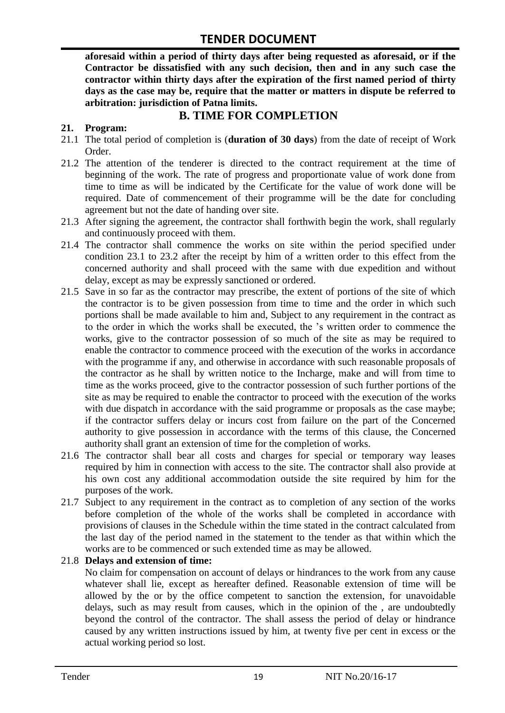**aforesaid within a period of thirty days after being requested as aforesaid, or if the Contractor be dissatisfied with any such decision, then and in any such case the contractor within thirty days after the expiration of the first named period of thirty days as the case may be, require that the matter or matters in dispute be referred to arbitration: jurisdiction of Patna limits.**

### **B. TIME FOR COMPLETION**

#### **21. Program:**

- 21.1 The total period of completion is (**duration of 30 days**) from the date of receipt of Work Order.
- 21.2 The attention of the tenderer is directed to the contract requirement at the time of beginning of the work. The rate of progress and proportionate value of work done from time to time as will be indicated by the Certificate for the value of work done will be required. Date of commencement of their programme will be the date for concluding agreement but not the date of handing over site.
- 21.3 After signing the agreement, the contractor shall forthwith begin the work, shall regularly and continuously proceed with them.
- 21.4 The contractor shall commence the works on site within the period specified under condition 23.1 to 23.2 after the receipt by him of a written order to this effect from the concerned authority and shall proceed with the same with due expedition and without delay, except as may be expressly sanctioned or ordered.
- 21.5 Save in so far as the contractor may prescribe, the extent of portions of the site of which the contractor is to be given possession from time to time and the order in which such portions shall be made available to him and, Subject to any requirement in the contract as to the order in which the works shall be executed, the "s written order to commence the works, give to the contractor possession of so much of the site as may be required to enable the contractor to commence proceed with the execution of the works in accordance with the programme if any, and otherwise in accordance with such reasonable proposals of the contractor as he shall by written notice to the Incharge, make and will from time to time as the works proceed, give to the contractor possession of such further portions of the site as may be required to enable the contractor to proceed with the execution of the works with due dispatch in accordance with the said programme or proposals as the case maybe; if the contractor suffers delay or incurs cost from failure on the part of the Concerned authority to give possession in accordance with the terms of this clause, the Concerned authority shall grant an extension of time for the completion of works.
- 21.6 The contractor shall bear all costs and charges for special or temporary way leases required by him in connection with access to the site. The contractor shall also provide at his own cost any additional accommodation outside the site required by him for the purposes of the work.
- 21.7 Subject to any requirement in the contract as to completion of any section of the works before completion of the whole of the works shall be completed in accordance with provisions of clauses in the Schedule within the time stated in the contract calculated from the last day of the period named in the statement to the tender as that within which the works are to be commenced or such extended time as may be allowed.

#### 21.8 **Delays and extension of time:**

No claim for compensation on account of delays or hindrances to the work from any cause whatever shall lie, except as hereafter defined. Reasonable extension of time will be allowed by the or by the office competent to sanction the extension, for unavoidable delays, such as may result from causes, which in the opinion of the , are undoubtedly beyond the control of the contractor. The shall assess the period of delay or hindrance caused by any written instructions issued by him, at twenty five per cent in excess or the actual working period so lost.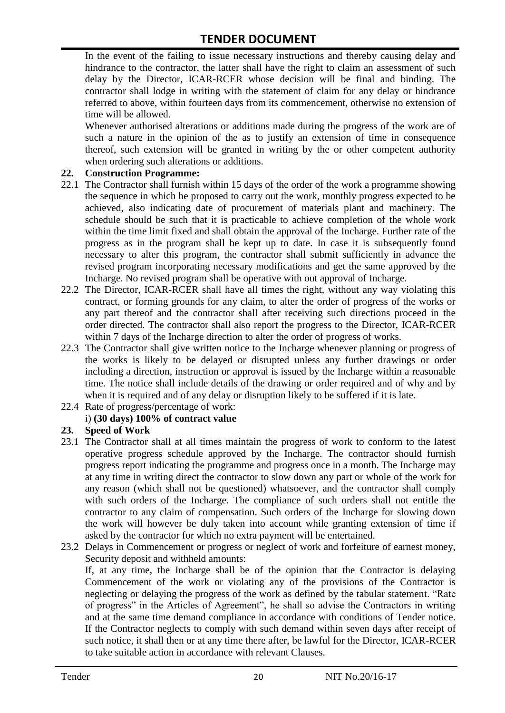In the event of the failing to issue necessary instructions and thereby causing delay and hindrance to the contractor, the latter shall have the right to claim an assessment of such delay by the Director, ICAR-RCER whose decision will be final and binding. The contractor shall lodge in writing with the statement of claim for any delay or hindrance referred to above, within fourteen days from its commencement, otherwise no extension of time will be allowed.

Whenever authorised alterations or additions made during the progress of the work are of such a nature in the opinion of the as to justify an extension of time in consequence thereof, such extension will be granted in writing by the or other competent authority when ordering such alterations or additions.

#### **22. Construction Programme:**

- 22.1 The Contractor shall furnish within 15 days of the order of the work a programme showing the sequence in which he proposed to carry out the work, monthly progress expected to be achieved, also indicating date of procurement of materials plant and machinery. The schedule should be such that it is practicable to achieve completion of the whole work within the time limit fixed and shall obtain the approval of the Incharge. Further rate of the progress as in the program shall be kept up to date. In case it is subsequently found necessary to alter this program, the contractor shall submit sufficiently in advance the revised program incorporating necessary modifications and get the same approved by the Incharge. No revised program shall be operative with out approval of Incharge.
- 22.2 The Director, ICAR-RCER shall have all times the right, without any way violating this contract, or forming grounds for any claim, to alter the order of progress of the works or any part thereof and the contractor shall after receiving such directions proceed in the order directed. The contractor shall also report the progress to the Director, ICAR-RCER within 7 days of the Incharge direction to alter the order of progress of works.
- 22.3 The Contractor shall give written notice to the Incharge whenever planning or progress of the works is likely to be delayed or disrupted unless any further drawings or order including a direction, instruction or approval is issued by the Incharge within a reasonable time. The notice shall include details of the drawing or order required and of why and by when it is required and of any delay or disruption likely to be suffered if it is late.
- 22.4 Rate of progress/percentage of work:

#### i) **(30 days) 100% of contract value**

#### **23. Speed of Work**

- 23.1 The Contractor shall at all times maintain the progress of work to conform to the latest operative progress schedule approved by the Incharge. The contractor should furnish progress report indicating the programme and progress once in a month. The Incharge may at any time in writing direct the contractor to slow down any part or whole of the work for any reason (which shall not be questioned) whatsoever, and the contractor shall comply with such orders of the Incharge. The compliance of such orders shall not entitle the contractor to any claim of compensation. Such orders of the Incharge for slowing down the work will however be duly taken into account while granting extension of time if asked by the contractor for which no extra payment will be entertained.
- 23.2 Delays in Commencement or progress or neglect of work and forfeiture of earnest money, Security deposit and withheld amounts:

If, at any time, the Incharge shall be of the opinion that the Contractor is delaying Commencement of the work or violating any of the provisions of the Contractor is neglecting or delaying the progress of the work as defined by the tabular statement. "Rate of progress" in the Articles of Agreement", he shall so advise the Contractors in writing and at the same time demand compliance in accordance with conditions of Tender notice. If the Contractor neglects to comply with such demand within seven days after receipt of such notice, it shall then or at any time there after, be lawful for the Director, ICAR-RCER to take suitable action in accordance with relevant Clauses.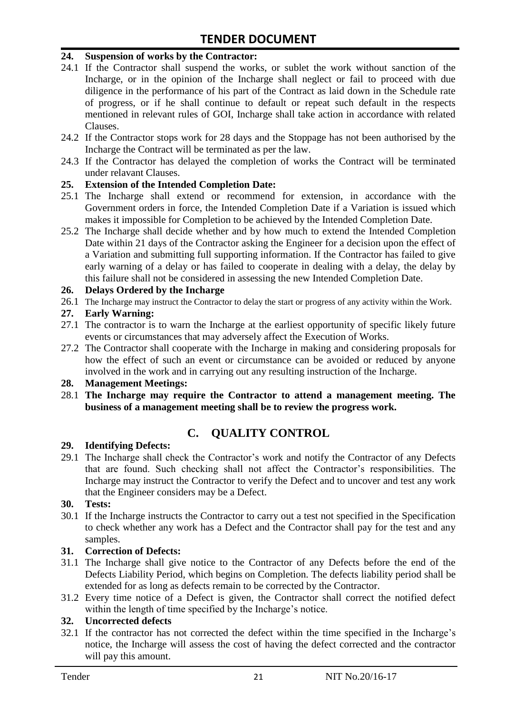#### **24. Suspension of works by the Contractor:**

- 24.1 If the Contractor shall suspend the works, or sublet the work without sanction of the Incharge, or in the opinion of the Incharge shall neglect or fail to proceed with due diligence in the performance of his part of the Contract as laid down in the Schedule rate of progress, or if he shall continue to default or repeat such default in the respects mentioned in relevant rules of GOI, Incharge shall take action in accordance with related Clauses.
- 24.2 If the Contractor stops work for 28 days and the Stoppage has not been authorised by the Incharge the Contract will be terminated as per the law.
- 24.3 If the Contractor has delayed the completion of works the Contract will be terminated under relavant Clauses.

#### **25. Extension of the Intended Completion Date:**

- 25.1 The Incharge shall extend or recommend for extension, in accordance with the Government orders in force, the Intended Completion Date if a Variation is issued which makes it impossible for Completion to be achieved by the Intended Completion Date.
- 25.2 The Incharge shall decide whether and by how much to extend the Intended Completion Date within 21 days of the Contractor asking the Engineer for a decision upon the effect of a Variation and submitting full supporting information. If the Contractor has failed to give early warning of a delay or has failed to cooperate in dealing with a delay, the delay by this failure shall not be considered in assessing the new Intended Completion Date.

#### **26. Delays Ordered by the Incharge**

26.1 The Incharge may instruct the Contractor to delay the start or progress of any activity within the Work.

#### **27. Early Warning:**

- 27.1 The contractor is to warn the Incharge at the earliest opportunity of specific likely future events or circumstances that may adversely affect the Execution of Works.
- 27.2 The Contractor shall cooperate with the Incharge in making and considering proposals for how the effect of such an event or circumstance can be avoided or reduced by anyone involved in the work and in carrying out any resulting instruction of the Incharge.

#### **28. Management Meetings:**

28.1 **The Incharge may require the Contractor to attend a management meeting. The business of a management meeting shall be to review the progress work.**

# **C. QUALITY CONTROL**

#### **29. Identifying Defects:**

29.1 The Incharge shall check the Contractor's work and notify the Contractor of any Defects that are found. Such checking shall not affect the Contractor"s responsibilities. The Incharge may instruct the Contractor to verify the Defect and to uncover and test any work that the Engineer considers may be a Defect.

#### **30. Tests:**

30.1 If the Incharge instructs the Contractor to carry out a test not specified in the Specification to check whether any work has a Defect and the Contractor shall pay for the test and any samples.

#### **31. Correction of Defects:**

- 31.1 The Incharge shall give notice to the Contractor of any Defects before the end of the Defects Liability Period, which begins on Completion. The defects liability period shall be extended for as long as defects remain to be corrected by the Contractor.
- 31.2 Every time notice of a Defect is given, the Contractor shall correct the notified defect within the length of time specified by the Incharge's notice.

#### **32. Uncorrected defects**

32.1 If the contractor has not corrected the defect within the time specified in the Incharge"s notice, the Incharge will assess the cost of having the defect corrected and the contractor will pay this amount.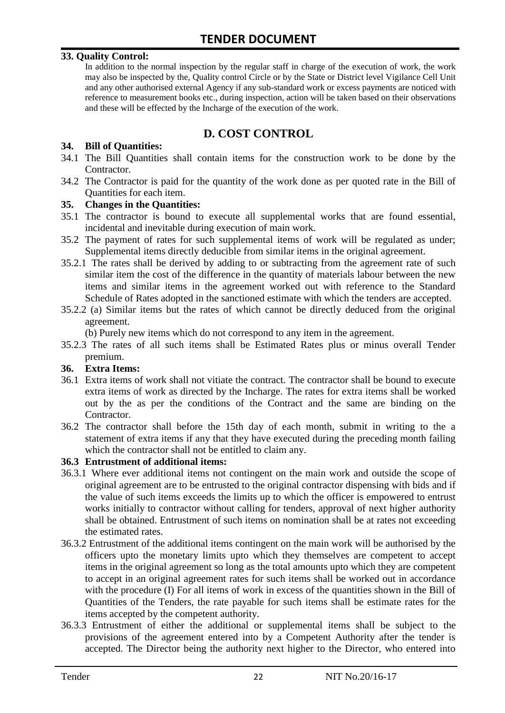#### **33. Quality Control:**

In addition to the normal inspection by the regular staff in charge of the execution of work, the work may also be inspected by the, Quality control Circle or by the State or District level Vigilance Cell Unit and any other authorised external Agency if any sub-standard work or excess payments are noticed with reference to measurement books etc., during inspection, action will be taken based on their observations and these will be effected by the Incharge of the execution of the work.

# **D. COST CONTROL**

#### **34. Bill of Quantities:**

- 34.1 The Bill Quantities shall contain items for the construction work to be done by the Contractor.
- 34.2 The Contractor is paid for the quantity of the work done as per quoted rate in the Bill of Quantities for each item.

#### **35. Changes in the Quantities:**

- 35.1 The contractor is bound to execute all supplemental works that are found essential, incidental and inevitable during execution of main work.
- 35.2 The payment of rates for such supplemental items of work will be regulated as under; Supplemental items directly deducible from similar items in the original agreement.
- 35.2.1 The rates shall be derived by adding to or subtracting from the agreement rate of such similar item the cost of the difference in the quantity of materials labour between the new items and similar items in the agreement worked out with reference to the Standard Schedule of Rates adopted in the sanctioned estimate with which the tenders are accepted.
- 35.2.2 (a) Similar items but the rates of which cannot be directly deduced from the original agreement.

(b) Purely new items which do not correspond to any item in the agreement.

35.2.3 The rates of all such items shall be Estimated Rates plus or minus overall Tender premium.

#### **36. Extra Items:**

- 36.1 Extra items of work shall not vitiate the contract. The contractor shall be bound to execute extra items of work as directed by the Incharge. The rates for extra items shall be worked out by the as per the conditions of the Contract and the same are binding on the Contractor.
- 36.2 The contractor shall before the 15th day of each month, submit in writing to the a statement of extra items if any that they have executed during the preceding month failing which the contractor shall not be entitled to claim any.

#### **36.3 Entrustment of additional items:**

- 36.3.1 Where ever additional items not contingent on the main work and outside the scope of original agreement are to be entrusted to the original contractor dispensing with bids and if the value of such items exceeds the limits up to which the officer is empowered to entrust works initially to contractor without calling for tenders, approval of next higher authority shall be obtained. Entrustment of such items on nomination shall be at rates not exceeding the estimated rates.
- 36.3.2 Entrustment of the additional items contingent on the main work will be authorised by the officers upto the monetary limits upto which they themselves are competent to accept items in the original agreement so long as the total amounts upto which they are competent to accept in an original agreement rates for such items shall be worked out in accordance with the procedure (I) For all items of work in excess of the quantities shown in the Bill of Quantities of the Tenders, the rate payable for such items shall be estimate rates for the items accepted by the competent authority.
- 36.3.3 Entrustment of either the additional or supplemental items shall be subject to the provisions of the agreement entered into by a Competent Authority after the tender is accepted. The Director being the authority next higher to the Director, who entered into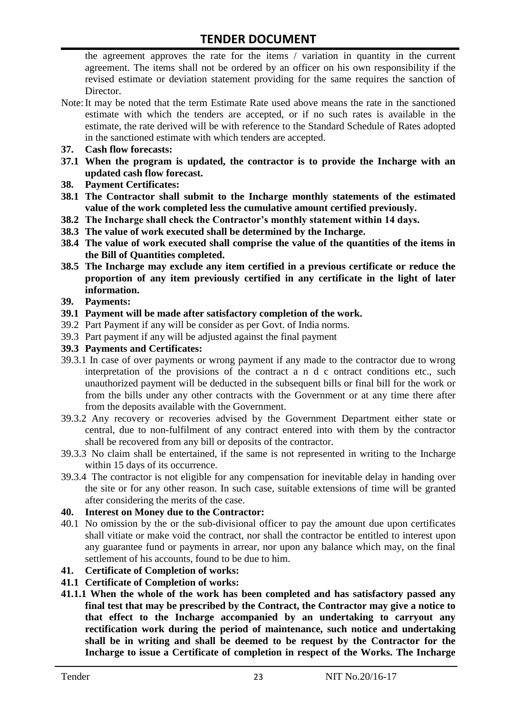the agreement approves the rate for the items / variation in quantity in the current agreement. The items shall not be ordered by an officer on his own responsibility if the revised estimate or deviation statement providing for the same requires the sanction of Director.

- Note:It may be noted that the term Estimate Rate used above means the rate in the sanctioned estimate with which the tenders are accepted, or if no such rates is available in the estimate, the rate derived will be with reference to the Standard Schedule of Rates adopted in the sanctioned estimate with which tenders are accepted.
- **37. Cash flow forecasts:**
- **37.1 When the program is updated, the contractor is to provide the Incharge with an updated cash flow forecast.**
- **38. Payment Certificates:**
- **38.1 The Contractor shall submit to the Incharge monthly statements of the estimated value of the work completed less the cumulative amount certified previously.**
- **38.2 The Incharge shall check the Contractor's monthly statement within 14 days.**
- **38.3 The value of work executed shall be determined by the Incharge.**
- **38.4 The value of work executed shall comprise the value of the quantities of the items in the Bill of Quantities completed.**
- **38.5 The Incharge may exclude any item certified in a previous certificate or reduce the proportion of any item previously certified in any certificate in the light of later information.**
- **39. Payments:**
- **39.1 Payment will be made after satisfactory completion of the work.**
- 39.2 Part Payment if any will be consider as per Govt. of India norms.
- 39.3 Part payment if any will be adjusted against the final payment
- **39.3 Payments and Certificates:**
- 39.3.1 In case of over payments or wrong payment if any made to the contractor due to wrong interpretation of the provisions of the contract a n d c ontract conditions etc., such unauthorized payment will be deducted in the subsequent bills or final bill for the work or from the bills under any other contracts with the Government or at any time there after from the deposits available with the Government.
- 39.3.2 Any recovery or recoveries advised by the Government Department either state or central, due to non-fulfilment of any contract entered into with them by the contractor shall be recovered from any bill or deposits of the contractor.
- 39.3.3 No claim shall be entertained, if the same is not represented in writing to the Incharge within 15 days of its occurrence.
- 39.3.4 The contractor is not eligible for any compensation for inevitable delay in handing over the site or for any other reason. In such case, suitable extensions of time will be granted after considering the merits of the case.

#### **40. Interest on Money due to the Contractor:**

- 40.1 No omission by the or the sub-divisional officer to pay the amount due upon certificates shall vitiate or make void the contract, nor shall the contractor be entitled to interest upon any guarantee fund or payments in arrear, nor upon any balance which may, on the final settlement of his accounts, found to be due to him.
- **41. Certificate of Completion of works:**
- **41.1 Certificate of Completion of works:**
- **41.1.1 When the whole of the work has been completed and has satisfactory passed any final test that may be prescribed by the Contract, the Contractor may give a notice to that effect to the Incharge accompanied by an undertaking to carryout any rectification work during the period of maintenance, such notice and undertaking shall be in writing and shall be deemed to be request by the Contractor for the Incharge to issue a Certificate of completion in respect of the Works. The Incharge**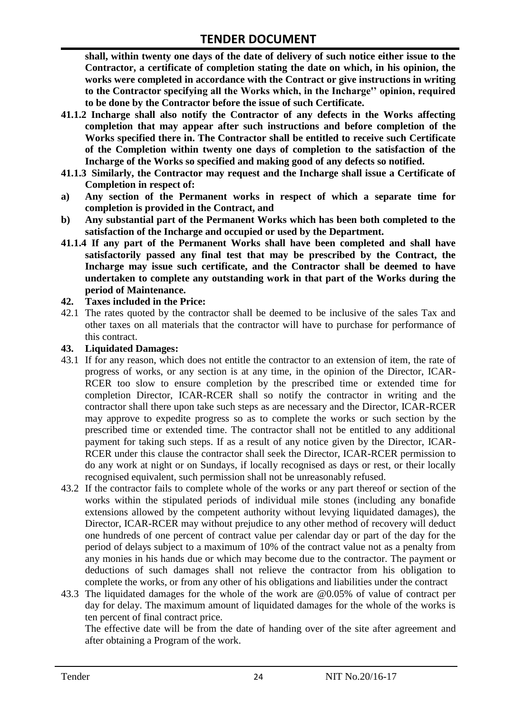**shall, within twenty one days of the date of delivery of such notice either issue to the Contractor, a certificate of completion stating the date on which, in his opinion, the works were completed in accordance with the Contract or give instructions in writing to the Contractor specifying all the Works which, in the Incharge'' opinion, required to be done by the Contractor before the issue of such Certificate.**

- **41.1.2 Incharge shall also notify the Contractor of any defects in the Works affecting completion that may appear after such instructions and before completion of the Works specified there in. The Contractor shall be entitled to receive such Certificate of the Completion within twenty one days of completion to the satisfaction of the Incharge of the Works so specified and making good of any defects so notified.**
- **41.1.3 Similarly, the Contractor may request and the Incharge shall issue a Certificate of Completion in respect of:**
- **a) Any section of the Permanent works in respect of which a separate time for completion is provided in the Contract, and**
- **b) Any substantial part of the Permanent Works which has been both completed to the satisfaction of the Incharge and occupied or used by the Department.**
- **41.1.4 If any part of the Permanent Works shall have been completed and shall have satisfactorily passed any final test that may be prescribed by the Contract, the Incharge may issue such certificate, and the Contractor shall be deemed to have undertaken to complete any outstanding work in that part of the Works during the period of Maintenance.**

#### **42. Taxes included in the Price:**

42.1 The rates quoted by the contractor shall be deemed to be inclusive of the sales Tax and other taxes on all materials that the contractor will have to purchase for performance of this contract.

#### **43. Liquidated Damages:**

- 43.1 If for any reason, which does not entitle the contractor to an extension of item, the rate of progress of works, or any section is at any time, in the opinion of the Director, ICAR-RCER too slow to ensure completion by the prescribed time or extended time for completion Director, ICAR-RCER shall so notify the contractor in writing and the contractor shall there upon take such steps as are necessary and the Director, ICAR-RCER may approve to expedite progress so as to complete the works or such section by the prescribed time or extended time. The contractor shall not be entitled to any additional payment for taking such steps. If as a result of any notice given by the Director, ICAR-RCER under this clause the contractor shall seek the Director, ICAR-RCER permission to do any work at night or on Sundays, if locally recognised as days or rest, or their locally recognised equivalent, such permission shall not be unreasonably refused.
- 43.2 If the contractor fails to complete whole of the works or any part thereof or section of the works within the stipulated periods of individual mile stones (including any bonafide extensions allowed by the competent authority without levying liquidated damages), the Director, ICAR-RCER may without prejudice to any other method of recovery will deduct one hundreds of one percent of contract value per calendar day or part of the day for the period of delays subject to a maximum of 10% of the contract value not as a penalty from any monies in his hands due or which may become due to the contractor. The payment or deductions of such damages shall not relieve the contractor from his obligation to complete the works, or from any other of his obligations and liabilities under the contract
- 43.3 The liquidated damages for the whole of the work are @0.05% of value of contract per day for delay. The maximum amount of liquidated damages for the whole of the works is ten percent of final contract price.

The effective date will be from the date of handing over of the site after agreement and after obtaining a Program of the work.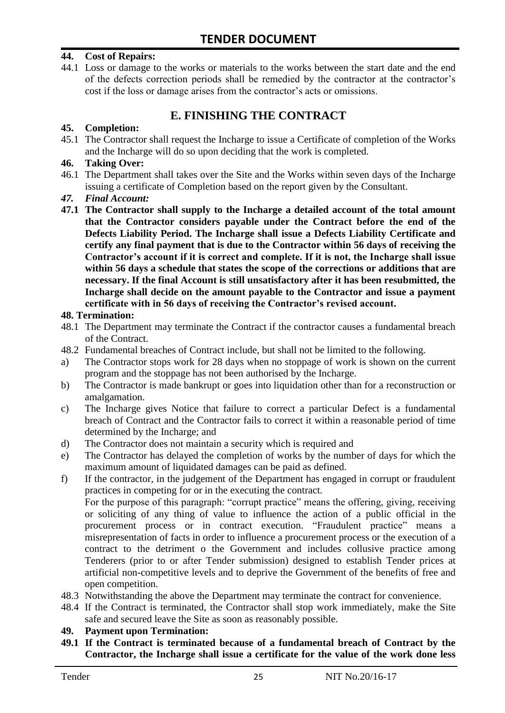#### **44. Cost of Repairs:**

44.1 Loss or damage to the works or materials to the works between the start date and the end of the defects correction periods shall be remedied by the contractor at the contractor"s cost if the loss or damage arises from the contractor's acts or omissions.

# **E. FINISHING THE CONTRACT**

#### **45. Completion:**

45.1 The Contractor shall request the Incharge to issue a Certificate of completion of the Works and the Incharge will do so upon deciding that the work is completed.

#### **46. Taking Over:**

- 46.1 The Department shall takes over the Site and the Works within seven days of the Incharge issuing a certificate of Completion based on the report given by the Consultant.
- *47. Final Account:*
- **47.1 The Contractor shall supply to the Incharge a detailed account of the total amount that the Contractor considers payable under the Contract before the end of the Defects Liability Period. The Incharge shall issue a Defects Liability Certificate and certify any final payment that is due to the Contractor within 56 days of receiving the Contractor's account if it is correct and complete. If it is not, the Incharge shall issue within 56 days a schedule that states the scope of the corrections or additions that are necessary. If the final Account is still unsatisfactory after it has been resubmitted, the Incharge shall decide on the amount payable to the Contractor and issue a payment certificate with in 56 days of receiving the Contractor's revised account.**

#### **48. Termination:**

- 48.1 The Department may terminate the Contract if the contractor causes a fundamental breach of the Contract.
- 48.2 Fundamental breaches of Contract include, but shall not be limited to the following.
- a) The Contractor stops work for 28 days when no stoppage of work is shown on the current program and the stoppage has not been authorised by the Incharge.
- b) The Contractor is made bankrupt or goes into liquidation other than for a reconstruction or amalgamation.
- c) The Incharge gives Notice that failure to correct a particular Defect is a fundamental breach of Contract and the Contractor fails to correct it within a reasonable period of time determined by the Incharge; and
- d) The Contractor does not maintain a security which is required and
- e) The Contractor has delayed the completion of works by the number of days for which the maximum amount of liquidated damages can be paid as defined.
- f) If the contractor, in the judgement of the Department has engaged in corrupt or fraudulent practices in competing for or in the executing the contract.

For the purpose of this paragraph: "corrupt practice" means the offering, giving, receiving or soliciting of any thing of value to influence the action of a public official in the procurement process or in contract execution. "Fraudulent practice" means a misrepresentation of facts in order to influence a procurement process or the execution of a contract to the detriment o the Government and includes collusive practice among Tenderers (prior to or after Tender submission) designed to establish Tender prices at artificial non-competitive levels and to deprive the Government of the benefits of free and open competition.

- 48.3 Notwithstanding the above the Department may terminate the contract for convenience.
- 48.4 If the Contract is terminated, the Contractor shall stop work immediately, make the Site safe and secured leave the Site as soon as reasonably possible.

#### **49. Payment upon Termination:**

**49.1 If the Contract is terminated because of a fundamental breach of Contract by the Contractor, the Incharge shall issue a certificate for the value of the work done less**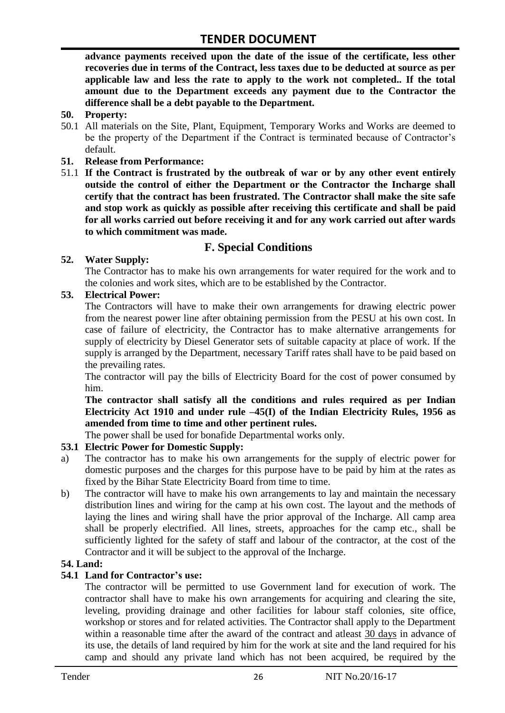**advance payments received upon the date of the issue of the certificate, less other recoveries due in terms of the Contract, less taxes due to be deducted at source as per applicable law and less the rate to apply to the work not completed.. If the total amount due to the Department exceeds any payment due to the Contractor the difference shall be a debt payable to the Department.**

- **50. Property:**
- 50.1 All materials on the Site, Plant, Equipment, Temporary Works and Works are deemed to be the property of the Department if the Contract is terminated because of Contractor's default.
- **51. Release from Performance:**
- 51.1 **If the Contract is frustrated by the outbreak of war or by any other event entirely outside the control of either the Department or the Contractor the Incharge shall certify that the contract has been frustrated. The Contractor shall make the site safe and stop work as quickly as possible after receiving this certificate and shall be paid for all works carried out before receiving it and for any work carried out after wards to which commitment was made.**

# **F. Special Conditions**

#### **52. Water Supply:**

The Contractor has to make his own arrangements for water required for the work and to the colonies and work sites, which are to be established by the Contractor.

#### **53. Electrical Power:**

The Contractors will have to make their own arrangements for drawing electric power from the nearest power line after obtaining permission from the PESU at his own cost. In case of failure of electricity, the Contractor has to make alternative arrangements for supply of electricity by Diesel Generator sets of suitable capacity at place of work. If the supply is arranged by the Department, necessary Tariff rates shall have to be paid based on the prevailing rates.

The contractor will pay the bills of Electricity Board for the cost of power consumed by him.

**The contractor shall satisfy all the conditions and rules required as per Indian Electricity Act 1910 and under rule –45(I) of the Indian Electricity Rules, 1956 as amended from time to time and other pertinent rules.**

The power shall be used for bonafide Departmental works only.

#### **53.1 Electric Power for Domestic Supply:**

- a) The contractor has to make his own arrangements for the supply of electric power for domestic purposes and the charges for this purpose have to be paid by him at the rates as fixed by the Bihar State Electricity Board from time to time.
- b) The contractor will have to make his own arrangements to lay and maintain the necessary distribution lines and wiring for the camp at his own cost. The layout and the methods of laying the lines and wiring shall have the prior approval of the Incharge. All camp area shall be properly electrified. All lines, streets, approaches for the camp etc., shall be sufficiently lighted for the safety of staff and labour of the contractor, at the cost of the Contractor and it will be subject to the approval of the Incharge.

#### **54. Land:**

#### **54.1 Land for Contractor's use:**

The contractor will be permitted to use Government land for execution of work. The contractor shall have to make his own arrangements for acquiring and clearing the site, leveling, providing drainage and other facilities for labour staff colonies, site office, workshop or stores and for related activities. The Contractor shall apply to the Department within a reasonable time after the award of the contract and atleast 30 days in advance of its use, the details of land required by him for the work at site and the land required for his camp and should any private land which has not been acquired, be required by the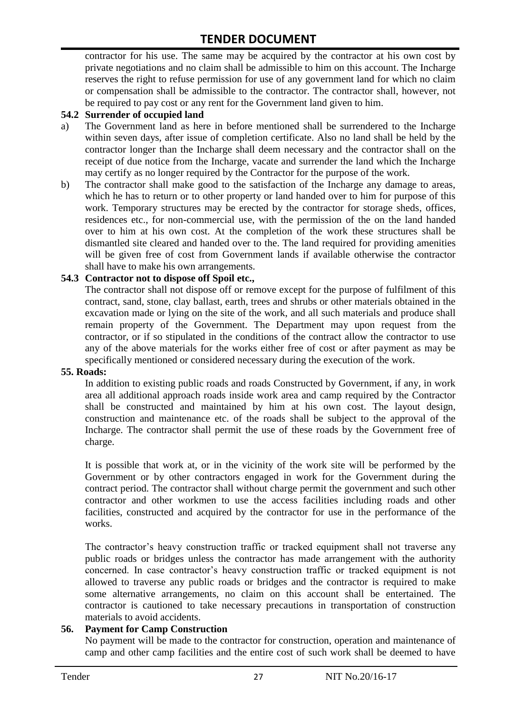contractor for his use. The same may be acquired by the contractor at his own cost by private negotiations and no claim shall be admissible to him on this account. The Incharge reserves the right to refuse permission for use of any government land for which no claim or compensation shall be admissible to the contractor. The contractor shall, however, not be required to pay cost or any rent for the Government land given to him.

#### **54.2 Surrender of occupied land**

- a) The Government land as here in before mentioned shall be surrendered to the Incharge within seven days, after issue of completion certificate. Also no land shall be held by the contractor longer than the Incharge shall deem necessary and the contractor shall on the receipt of due notice from the Incharge, vacate and surrender the land which the Incharge may certify as no longer required by the Contractor for the purpose of the work.
- b) The contractor shall make good to the satisfaction of the Incharge any damage to areas, which he has to return or to other property or land handed over to him for purpose of this work. Temporary structures may be erected by the contractor for storage sheds, offices, residences etc., for non-commercial use, with the permission of the on the land handed over to him at his own cost. At the completion of the work these structures shall be dismantled site cleared and handed over to the. The land required for providing amenities will be given free of cost from Government lands if available otherwise the contractor shall have to make his own arrangements.

#### **54.3 Contractor not to dispose off Spoil etc.,**

The contractor shall not dispose off or remove except for the purpose of fulfilment of this contract, sand, stone, clay ballast, earth, trees and shrubs or other materials obtained in the excavation made or lying on the site of the work, and all such materials and produce shall remain property of the Government. The Department may upon request from the contractor, or if so stipulated in the conditions of the contract allow the contractor to use any of the above materials for the works either free of cost or after payment as may be specifically mentioned or considered necessary during the execution of the work.

#### **55. Roads:**

In addition to existing public roads and roads Constructed by Government, if any, in work area all additional approach roads inside work area and camp required by the Contractor shall be constructed and maintained by him at his own cost. The layout design, construction and maintenance etc. of the roads shall be subject to the approval of the Incharge. The contractor shall permit the use of these roads by the Government free of charge.

It is possible that work at, or in the vicinity of the work site will be performed by the Government or by other contractors engaged in work for the Government during the contract period. The contractor shall without charge permit the government and such other contractor and other workmen to use the access facilities including roads and other facilities, constructed and acquired by the contractor for use in the performance of the works.

The contractor's heavy construction traffic or tracked equipment shall not traverse any public roads or bridges unless the contractor has made arrangement with the authority concerned. In case contractor"s heavy construction traffic or tracked equipment is not allowed to traverse any public roads or bridges and the contractor is required to make some alternative arrangements, no claim on this account shall be entertained. The contractor is cautioned to take necessary precautions in transportation of construction materials to avoid accidents.

#### **56. Payment for Camp Construction**

No payment will be made to the contractor for construction, operation and maintenance of camp and other camp facilities and the entire cost of such work shall be deemed to have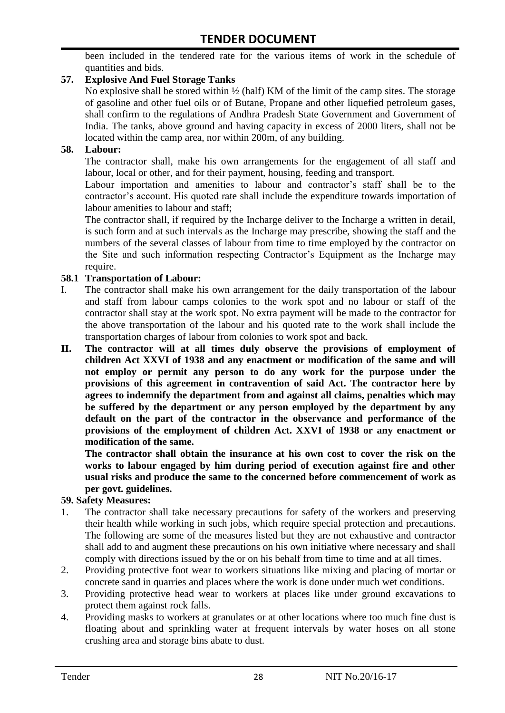been included in the tendered rate for the various items of work in the schedule of quantities and bids.

#### **57. Explosive And Fuel Storage Tanks**

No explosive shall be stored within ½ (half) KM of the limit of the camp sites. The storage of gasoline and other fuel oils or of Butane, Propane and other liquefied petroleum gases, shall confirm to the regulations of Andhra Pradesh State Government and Government of India. The tanks, above ground and having capacity in excess of 2000 liters, shall not be located within the camp area, nor within 200m, of any building.

#### **58. Labour:**

The contractor shall, make his own arrangements for the engagement of all staff and labour, local or other, and for their payment, housing, feeding and transport.

Labour importation and amenities to labour and contractor's staff shall be to the contractor's account. His quoted rate shall include the expenditure towards importation of labour amenities to labour and staff;

The contractor shall, if required by the Incharge deliver to the Incharge a written in detail, is such form and at such intervals as the Incharge may prescribe, showing the staff and the numbers of the several classes of labour from time to time employed by the contractor on the Site and such information respecting Contractor"s Equipment as the Incharge may require.

#### **58.1 Transportation of Labour:**

- I. The contractor shall make his own arrangement for the daily transportation of the labour and staff from labour camps colonies to the work spot and no labour or staff of the contractor shall stay at the work spot. No extra payment will be made to the contractor for the above transportation of the labour and his quoted rate to the work shall include the transportation charges of labour from colonies to work spot and back.
- **II. The contractor will at all times duly observe the provisions of employment of children Act XXVI of 1938 and any enactment or modification of the same and will not employ or permit any person to do any work for the purpose under the provisions of this agreement in contravention of said Act. The contractor here by agrees to indemnify the department from and against all claims, penalties which may be suffered by the department or any person employed by the department by any default on the part of the contractor in the observance and performance of the provisions of the employment of children Act. XXVI of 1938 or any enactment or modification of the same.**

**The contractor shall obtain the insurance at his own cost to cover the risk on the works to labour engaged by him during period of execution against fire and other usual risks and produce the same to the concerned before commencement of work as per govt. guidelines.**

#### **59. Safety Measures:**

- 1. The contractor shall take necessary precautions for safety of the workers and preserving their health while working in such jobs, which require special protection and precautions. The following are some of the measures listed but they are not exhaustive and contractor shall add to and augment these precautions on his own initiative where necessary and shall comply with directions issued by the or on his behalf from time to time and at all times.
- 2. Providing protective foot wear to workers situations like mixing and placing of mortar or concrete sand in quarries and places where the work is done under much wet conditions.
- 3. Providing protective head wear to workers at places like under ground excavations to protect them against rock falls.
- 4. Providing masks to workers at granulates or at other locations where too much fine dust is floating about and sprinkling water at frequent intervals by water hoses on all stone crushing area and storage bins abate to dust.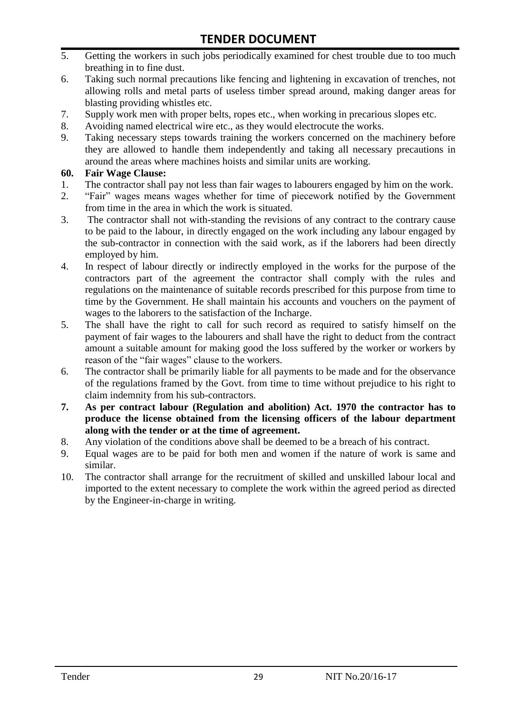- 5. Getting the workers in such jobs periodically examined for chest trouble due to too much breathing in to fine dust.
- 6. Taking such normal precautions like fencing and lightening in excavation of trenches, not allowing rolls and metal parts of useless timber spread around, making danger areas for blasting providing whistles etc.
- 7. Supply work men with proper belts, ropes etc., when working in precarious slopes etc.
- 8. Avoiding named electrical wire etc., as they would electrocute the works.
- 9. Taking necessary steps towards training the workers concerned on the machinery before they are allowed to handle them independently and taking all necessary precautions in around the areas where machines hoists and similar units are working.

#### **60. Fair Wage Clause:**

- 1. The contractor shall pay not less than fair wages to labourers engaged by him on the work.
- 2. "Fair" wages means wages whether for time of piecework notified by the Government from time in the area in which the work is situated.
- 3. The contractor shall not with-standing the revisions of any contract to the contrary cause to be paid to the labour, in directly engaged on the work including any labour engaged by the sub-contractor in connection with the said work, as if the laborers had been directly employed by him.
- 4. In respect of labour directly or indirectly employed in the works for the purpose of the contractors part of the agreement the contractor shall comply with the rules and regulations on the maintenance of suitable records prescribed for this purpose from time to time by the Government. He shall maintain his accounts and vouchers on the payment of wages to the laborers to the satisfaction of the Incharge.
- 5. The shall have the right to call for such record as required to satisfy himself on the payment of fair wages to the labourers and shall have the right to deduct from the contract amount a suitable amount for making good the loss suffered by the worker or workers by reason of the "fair wages" clause to the workers.
- 6. The contractor shall be primarily liable for all payments to be made and for the observance of the regulations framed by the Govt. from time to time without prejudice to his right to claim indemnity from his sub-contractors.
- **7. As per contract labour (Regulation and abolition) Act. 1970 the contractor has to produce the license obtained from the licensing officers of the labour department along with the tender or at the time of agreement.**
- 8. Any violation of the conditions above shall be deemed to be a breach of his contract.
- 9. Equal wages are to be paid for both men and women if the nature of work is same and similar.
- 10. The contractor shall arrange for the recruitment of skilled and unskilled labour local and imported to the extent necessary to complete the work within the agreed period as directed by the Engineer-in-charge in writing.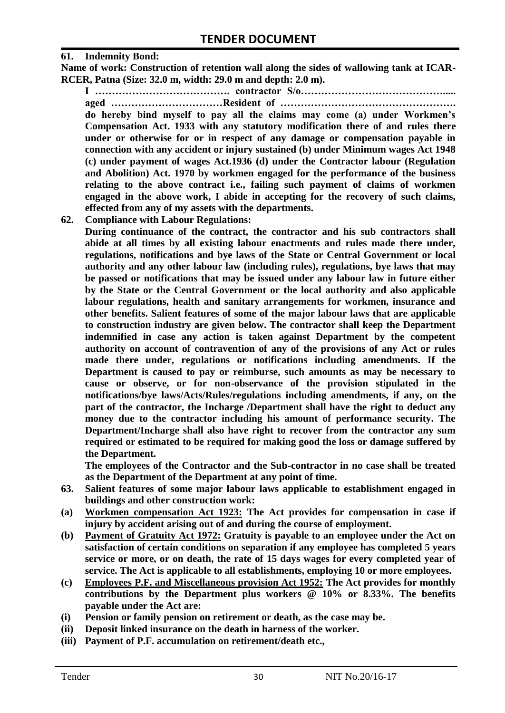#### **61. Indemnity Bond:**

**Name of work: Construction of retention wall along the sides of wallowing tank at ICAR-RCER, Patna (Size: 32.0 m, width: 29.0 m and depth: 2.0 m).**

**I …………………………………. contractor S/o……………………………………..... aged ……………………………Resident of ……………………………………………. do hereby bind myself to pay all the claims may come (a) under Workmen's Compensation Act. 1933 with any statutory modification there of and rules there under or otherwise for or in respect of any damage or compensation payable in connection with any accident or injury sustained (b) under Minimum wages Act 1948 (c) under payment of wages Act.1936 (d) under the Contractor labour (Regulation and Abolition) Act. 1970 by workmen engaged for the performance of the business relating to the above contract i.e., failing such payment of claims of workmen engaged in the above work, I abide in accepting for the recovery of such claims, effected from any of my assets with the departments.**

**62. Compliance with Labour Regulations:**

**During continuance of the contract, the contractor and his sub contractors shall abide at all times by all existing labour enactments and rules made there under, regulations, notifications and bye laws of the State or Central Government or local authority and any other labour law (including rules), regulations, bye laws that may be passed or notifications that may be issued under any labour law in future either by the State or the Central Government or the local authority and also applicable labour regulations, health and sanitary arrangements for workmen, insurance and other benefits. Salient features of some of the major labour laws that are applicable to construction industry are given below. The contractor shall keep the Department indemnified in case any action is taken against Department by the competent authority on account of contravention of any of the provisions of any Act or rules made there under, regulations or notifications including amendments. If the Department is caused to pay or reimburse, such amounts as may be necessary to cause or observe, or for non-observance of the provision stipulated in the notifications/bye laws/Acts/Rules/regulations including amendments, if any, on the part of the contractor, the Incharge /Department shall have the right to deduct any money due to the contractor including his amount of performance security. The Department/Incharge shall also have right to recover from the contractor any sum required or estimated to be required for making good the loss or damage suffered by the Department.**

**The employees of the Contractor and the Sub-contractor in no case shall be treated as the Department of the Department at any point of time.**

- **63. Salient features of some major labour laws applicable to establishment engaged in buildings and other construction work:**
- **(a) Workmen compensation Act 1923: The Act provides for compensation in case if injury by accident arising out of and during the course of employment.**
- **(b) Payment of Gratuity Act 1972: Gratuity is payable to an employee under the Act on satisfaction of certain conditions on separation if any employee has completed 5 years service or more, or on death, the rate of 15 days wages for every completed year of service. The Act is applicable to all establishments, employing 10 or more employees.**
- **(c) Employees P.F. and Miscellaneous provision Act 1952: The Act provides for monthly contributions by the Department plus workers @ 10% or 8.33%. The benefits payable under the Act are:**
- **(i) Pension or family pension on retirement or death, as the case may be.**
- **(ii) Deposit linked insurance on the death in harness of the worker.**
- **(iii) Payment of P.F. accumulation on retirement/death etc.,**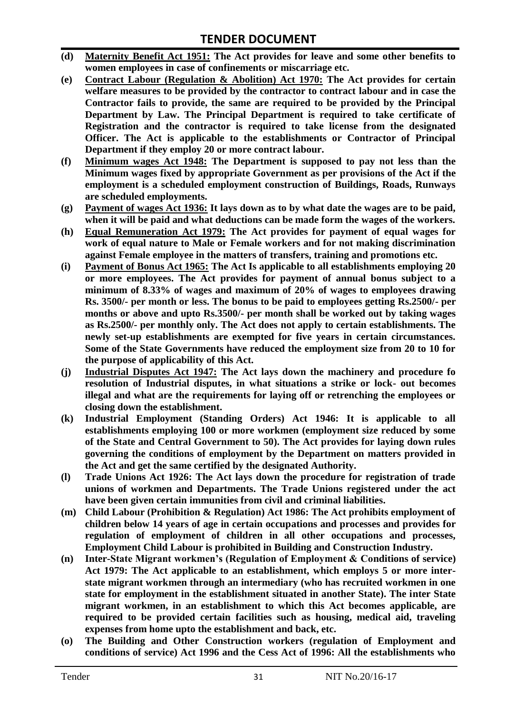- **(d) Maternity Benefit Act 1951: The Act provides for leave and some other benefits to women employees in case of confinements or miscarriage etc.**
- **(e) Contract Labour (Regulation & Abolition) Act 1970: The Act provides for certain**  welfare measures to be provided by the contractor to contract labour and in case the **Contractor fails to provide, the same are required to be provided by the Principal Department by Law. The Principal Department is required to take certificate of Registration and the contractor is required to take license from the designated Officer. The Act is applicable to the establishments or Contractor of Principal Department if they employ 20 or more contract labour.**
- **(f) Minimum wages Act 1948: The Department is supposed to pay not less than the Minimum wages fixed by appropriate Government as per provisions of the Act if the employment is a scheduled employment construction of Buildings, Roads, Runways are scheduled employments.**
- **(g) Payment of wages Act 1936: It lays down as to by what date the wages are to be paid, when it will be paid and what deductions can be made form the wages of the workers.**
- **(h) Equal Remuneration Act 1979: The Act provides for payment of equal wages for work of equal nature to Male or Female workers and for not making discrimination against Female employee in the matters of transfers, training and promotions etc.**
- **(i) Payment of Bonus Act 1965: The Act Is applicable to all establishments employing 20 or more employees. The Act provides for payment of annual bonus subject to a minimum of 8.33% of wages and maximum of 20% of wages to employees drawing Rs. 3500/- per month or less. The bonus to be paid to employees getting Rs.2500/- per months or above and upto Rs.3500/- per month shall be worked out by taking wages as Rs.2500/- per monthly only. The Act does not apply to certain establishments. The newly set-up establishments are exempted for five years in certain circumstances. Some of the State Governments have reduced the employment size from 20 to 10 for the purpose of applicability of this Act.**
- **(j) Industrial Disputes Act 1947: The Act lays down the machinery and procedure fo resolution of Industrial disputes, in what situations a strike or lock- out becomes illegal and what are the requirements for laying off or retrenching the employees or closing down the establishment.**
- **(k) Industrial Employment (Standing Orders) Act 1946: It is applicable to all establishments employing 100 or more workmen (employment size reduced by some of the State and Central Government to 50). The Act provides for laying down rules governing the conditions of employment by the Department on matters provided in the Act and get the same certified by the designated Authority.**
- **(l) Trade Unions Act 1926: The Act lays down the procedure for registration of trade unions of workmen and Departments. The Trade Unions registered under the act have been given certain immunities from civil and criminal liabilities.**
- **(m) Child Labour (Prohibition & Regulation) Act 1986: The Act prohibits employment of children below 14 years of age in certain occupations and processes and provides for regulation of employment of children in all other occupations and processes, Employment Child Labour is prohibited in Building and Construction Industry.**
- **(n) Inter-State Migrant workmen's (Regulation of Employment & Conditions of service) Act 1979: The Act applicable to an establishment, which employs 5 or more interstate migrant workmen through an intermediary (who has recruited workmen in one state for employment in the establishment situated in another State). The inter State migrant workmen, in an establishment to which this Act becomes applicable, are required to be provided certain facilities such as housing, medical aid, traveling expenses from home upto the establishment and back, etc.**
- **(o) The Building and Other Construction workers (regulation of Employment and conditions of service) Act 1996 and the Cess Act of 1996: All the establishments who**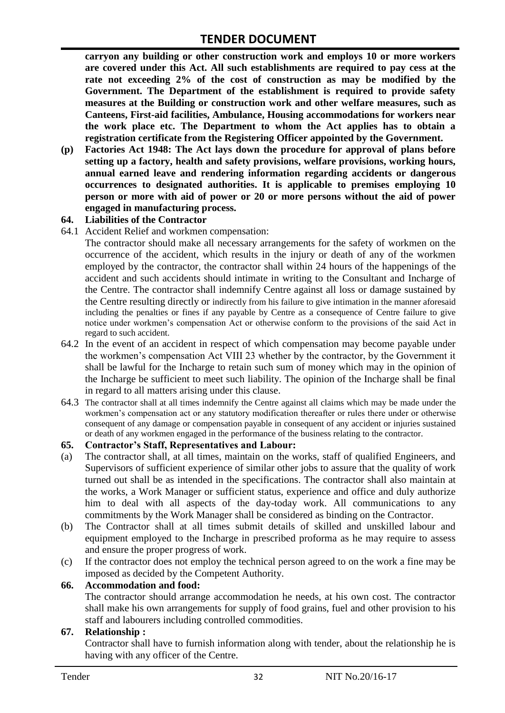**carryon any building or other construction work and employs 10 or more workers are covered under this Act. All such establishments are required to pay cess at the rate not exceeding 2% of the cost of construction as may be modified by the Government. The Department of the establishment is required to provide safety measures at the Building or construction work and other welfare measures, such as Canteens, First-aid facilities, Ambulance, Housing accommodations for workers near the work place etc. The Department to whom the Act applies has to obtain a registration certificate from the Registering Officer appointed by the Government.**

**(p) Factories Act 1948: The Act lays down the procedure for approval of plans before setting up a factory, health and safety provisions, welfare provisions, working hours, annual earned leave and rendering information regarding accidents or dangerous occurrences to designated authorities. It is applicable to premises employing 10 person or more with aid of power or 20 or more persons without the aid of power engaged in manufacturing process.**

#### **64. Liabilities of the Contractor**

64.1 Accident Relief and workmen compensation:

The contractor should make all necessary arrangements for the safety of workmen on the occurrence of the accident, which results in the injury or death of any of the workmen employed by the contractor, the contractor shall within 24 hours of the happenings of the accident and such accidents should intimate in writing to the Consultant and Incharge of the Centre. The contractor shall indemnify Centre against all loss or damage sustained by the Centre resulting directly or indirectly from his failure to give intimation in the manner aforesaid including the penalties or fines if any payable by Centre as a consequence of Centre failure to give notice under workmen"s compensation Act or otherwise conform to the provisions of the said Act in regard to such accident.

- 64.2 In the event of an accident in respect of which compensation may become payable under the workmen"s compensation Act VIII 23 whether by the contractor, by the Government it shall be lawful for the Incharge to retain such sum of money which may in the opinion of the Incharge be sufficient to meet such liability. The opinion of the Incharge shall be final in regard to all matters arising under this clause.
- 64.3 The contractor shall at all times indemnify the Centre against all claims which may be made under the workmen"s compensation act or any statutory modification thereafter or rules there under or otherwise consequent of any damage or compensation payable in consequent of any accident or injuries sustained or death of any workmen engaged in the performance of the business relating to the contractor.

#### **65. Contractor's Staff, Representatives and Labour:**

- (a) The contractor shall, at all times, maintain on the works, staff of qualified Engineers, and Supervisors of sufficient experience of similar other jobs to assure that the quality of work turned out shall be as intended in the specifications. The contractor shall also maintain at the works, a Work Manager or sufficient status, experience and office and duly authorize him to deal with all aspects of the day-today work. All communications to any commitments by the Work Manager shall be considered as binding on the Contractor.
- (b) The Contractor shall at all times submit details of skilled and unskilled labour and equipment employed to the Incharge in prescribed proforma as he may require to assess and ensure the proper progress of work.
- (c) If the contractor does not employ the technical person agreed to on the work a fine may be imposed as decided by the Competent Authority.

#### **66. Accommodation and food:**

The contractor should arrange accommodation he needs, at his own cost. The contractor shall make his own arrangements for supply of food grains, fuel and other provision to his staff and labourers including controlled commodities.

#### **67. Relationship :**

Contractor shall have to furnish information along with tender, about the relationship he is having with any officer of the Centre.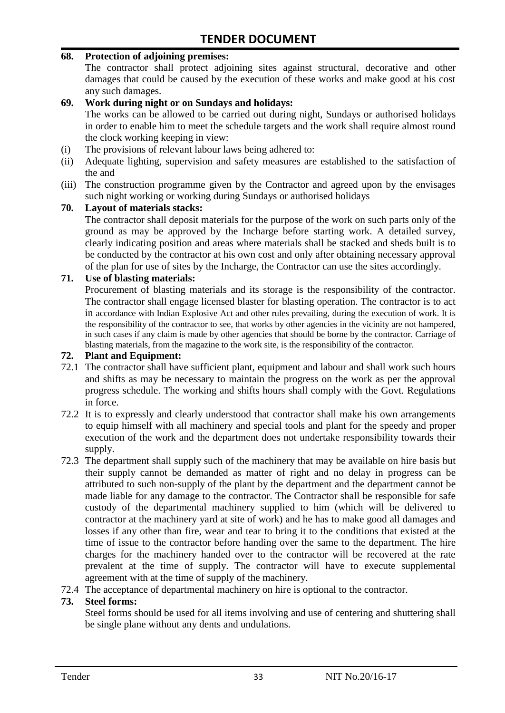#### **68. Protection of adjoining premises:**

The contractor shall protect adjoining sites against structural, decorative and other damages that could be caused by the execution of these works and make good at his cost any such damages.

#### **69. Work during night or on Sundays and holidays:**

The works can be allowed to be carried out during night, Sundays or authorised holidays in order to enable him to meet the schedule targets and the work shall require almost round the clock working keeping in view:

- (i) The provisions of relevant labour laws being adhered to:
- (ii) Adequate lighting, supervision and safety measures are established to the satisfaction of the and
- (iii) The construction programme given by the Contractor and agreed upon by the envisages such night working or working during Sundays or authorised holidays

#### **70. Layout of materials stacks:**

The contractor shall deposit materials for the purpose of the work on such parts only of the ground as may be approved by the Incharge before starting work. A detailed survey, clearly indicating position and areas where materials shall be stacked and sheds built is to be conducted by the contractor at his own cost and only after obtaining necessary approval of the plan for use of sites by the Incharge, the Contractor can use the sites accordingly.

#### **71. Use of blasting materials:**

Procurement of blasting materials and its storage is the responsibility of the contractor. The contractor shall engage licensed blaster for blasting operation. The contractor is to act in accordance with Indian Explosive Act and other rules prevailing, during the execution of work. It is the responsibility of the contractor to see, that works by other agencies in the vicinity are not hampered, in such cases if any claim is made by other agencies that should be borne by the contractor. Carriage of blasting materials, from the magazine to the work site, is the responsibility of the contractor.

#### **72. Plant and Equipment:**

- 72.1 The contractor shall have sufficient plant, equipment and labour and shall work such hours and shifts as may be necessary to maintain the progress on the work as per the approval progress schedule. The working and shifts hours shall comply with the Govt. Regulations in force.
- 72.2 It is to expressly and clearly understood that contractor shall make his own arrangements to equip himself with all machinery and special tools and plant for the speedy and proper execution of the work and the department does not undertake responsibility towards their supply.
- 72.3 The department shall supply such of the machinery that may be available on hire basis but their supply cannot be demanded as matter of right and no delay in progress can be attributed to such non-supply of the plant by the department and the department cannot be made liable for any damage to the contractor. The Contractor shall be responsible for safe custody of the departmental machinery supplied to him (which will be delivered to contractor at the machinery yard at site of work) and he has to make good all damages and losses if any other than fire, wear and tear to bring it to the conditions that existed at the time of issue to the contractor before handing over the same to the department. The hire charges for the machinery handed over to the contractor will be recovered at the rate prevalent at the time of supply. The contractor will have to execute supplemental agreement with at the time of supply of the machinery.
- 72.4 The acceptance of departmental machinery on hire is optional to the contractor.

#### **73. Steel forms:**

Steel forms should be used for all items involving and use of centering and shuttering shall be single plane without any dents and undulations.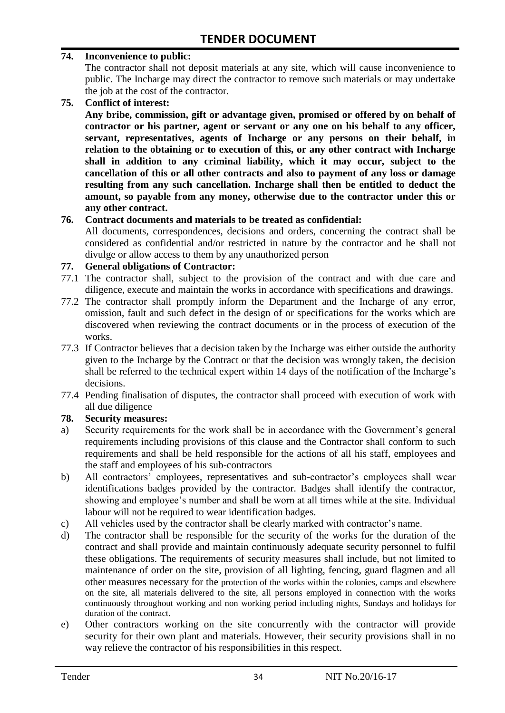#### **74. Inconvenience to public:**

The contractor shall not deposit materials at any site, which will cause inconvenience to public. The Incharge may direct the contractor to remove such materials or may undertake the job at the cost of the contractor.

**75. Conflict of interest:**

**Any bribe, commission, gift or advantage given, promised or offered by on behalf of contractor or his partner, agent or servant or any one on his behalf to any officer, servant, representatives, agents of Incharge or any persons on their behalf, in relation to the obtaining or to execution of this, or any other contract with Incharge shall in addition to any criminal liability, which it may occur, subject to the cancellation of this or all other contracts and also to payment of any loss or damage resulting from any such cancellation. Incharge shall then be entitled to deduct the amount, so payable from any money, otherwise due to the contractor under this or any other contract.**

#### **76. Contract documents and materials to be treated as confidential:**

All documents, correspondences, decisions and orders, concerning the contract shall be considered as confidential and/or restricted in nature by the contractor and he shall not divulge or allow access to them by any unauthorized person

#### **77. General obligations of Contractor:**

- 77.1 The contractor shall, subject to the provision of the contract and with due care and diligence, execute and maintain the works in accordance with specifications and drawings.
- 77.2 The contractor shall promptly inform the Department and the Incharge of any error, omission, fault and such defect in the design of or specifications for the works which are discovered when reviewing the contract documents or in the process of execution of the works.
- 77.3 If Contractor believes that a decision taken by the Incharge was either outside the authority given to the Incharge by the Contract or that the decision was wrongly taken, the decision shall be referred to the technical expert within 14 days of the notification of the Incharge"s decisions.
- 77.4 Pending finalisation of disputes, the contractor shall proceed with execution of work with all due diligence

#### **78. Security measures:**

- a) Security requirements for the work shall be in accordance with the Government's general requirements including provisions of this clause and the Contractor shall conform to such requirements and shall be held responsible for the actions of all his staff, employees and the staff and employees of his sub-contractors
- b) All contractors' employees, representatives and sub-contractor's employees shall wear identifications badges provided by the contractor. Badges shall identify the contractor, showing and employee's number and shall be worn at all times while at the site. Individual labour will not be required to wear identification badges.
- c) All vehicles used by the contractor shall be clearly marked with contractor"s name.
- d) The contractor shall be responsible for the security of the works for the duration of the contract and shall provide and maintain continuously adequate security personnel to fulfil these obligations. The requirements of security measures shall include, but not limited to maintenance of order on the site, provision of all lighting, fencing, guard flagmen and all other measures necessary for the protection of the works within the colonies, camps and elsewhere on the site, all materials delivered to the site, all persons employed in connection with the works continuously throughout working and non working period including nights, Sundays and holidays for duration of the contract.
- e) Other contractors working on the site concurrently with the contractor will provide security for their own plant and materials. However, their security provisions shall in no way relieve the contractor of his responsibilities in this respect.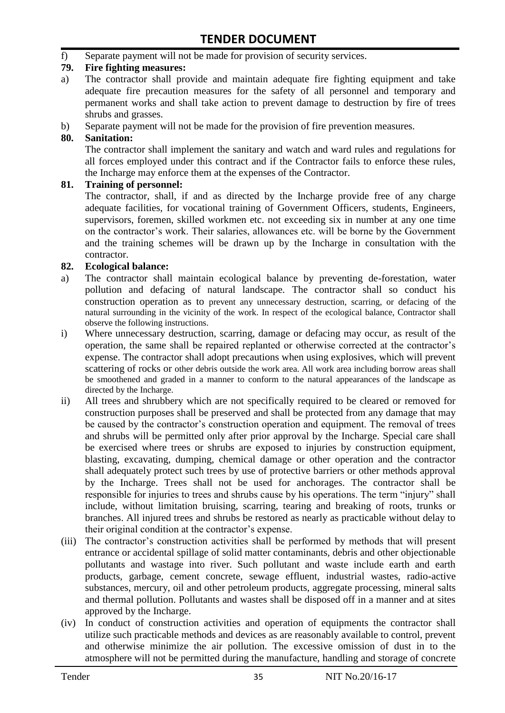f) Separate payment will not be made for provision of security services.

#### **79. Fire fighting measures:**

- a) The contractor shall provide and maintain adequate fire fighting equipment and take adequate fire precaution measures for the safety of all personnel and temporary and permanent works and shall take action to prevent damage to destruction by fire of trees shrubs and grasses.
- b) Separate payment will not be made for the provision of fire prevention measures.

#### **80. Sanitation:**

The contractor shall implement the sanitary and watch and ward rules and regulations for all forces employed under this contract and if the Contractor fails to enforce these rules, the Incharge may enforce them at the expenses of the Contractor.

#### **81. Training of personnel:**

The contractor, shall, if and as directed by the Incharge provide free of any charge adequate facilities, for vocational training of Government Officers, students, Engineers, supervisors, foremen, skilled workmen etc. not exceeding six in number at any one time on the contractor"s work. Their salaries, allowances etc. will be borne by the Government and the training schemes will be drawn up by the Incharge in consultation with the contractor.

#### **82. Ecological balance:**

- a) The contractor shall maintain ecological balance by preventing de-forestation, water pollution and defacing of natural landscape. The contractor shall so conduct his construction operation as to prevent any unnecessary destruction, scarring, or defacing of the natural surrounding in the vicinity of the work. In respect of the ecological balance, Contractor shall observe the following instructions.
- i) Where unnecessary destruction, scarring, damage or defacing may occur, as result of the operation, the same shall be repaired replanted or otherwise corrected at the contractor"s expense. The contractor shall adopt precautions when using explosives, which will prevent scattering of rocks or other debris outside the work area. All work area including borrow areas shall be smoothened and graded in a manner to conform to the natural appearances of the landscape as directed by the Incharge.
- ii) All trees and shrubbery which are not specifically required to be cleared or removed for construction purposes shall be preserved and shall be protected from any damage that may be caused by the contractor's construction operation and equipment. The removal of trees and shrubs will be permitted only after prior approval by the Incharge. Special care shall be exercised where trees or shrubs are exposed to injuries by construction equipment, blasting, excavating, dumping, chemical damage or other operation and the contractor shall adequately protect such trees by use of protective barriers or other methods approval by the Incharge. Trees shall not be used for anchorages. The contractor shall be responsible for injuries to trees and shrubs cause by his operations. The term "injury" shall include, without limitation bruising, scarring, tearing and breaking of roots, trunks or branches. All injured trees and shrubs be restored as nearly as practicable without delay to their original condition at the contractor"s expense.
- (iii) The contractor's construction activities shall be performed by methods that will present entrance or accidental spillage of solid matter contaminants, debris and other objectionable pollutants and wastage into river. Such pollutant and waste include earth and earth products, garbage, cement concrete, sewage effluent, industrial wastes, radio-active substances, mercury, oil and other petroleum products, aggregate processing, mineral salts and thermal pollution. Pollutants and wastes shall be disposed off in a manner and at sites approved by the Incharge.
- (iv) In conduct of construction activities and operation of equipments the contractor shall utilize such practicable methods and devices as are reasonably available to control, prevent and otherwise minimize the air pollution. The excessive omission of dust in to the atmosphere will not be permitted during the manufacture, handling and storage of concrete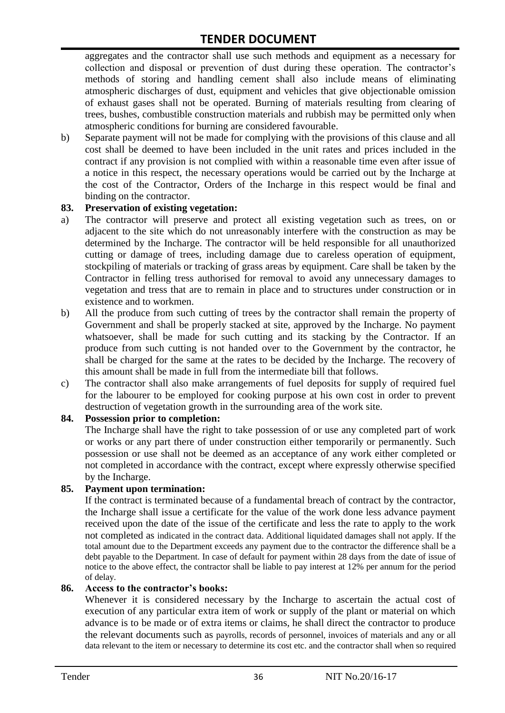aggregates and the contractor shall use such methods and equipment as a necessary for collection and disposal or prevention of dust during these operation. The contractor's methods of storing and handling cement shall also include means of eliminating atmospheric discharges of dust, equipment and vehicles that give objectionable omission of exhaust gases shall not be operated. Burning of materials resulting from clearing of trees, bushes, combustible construction materials and rubbish may be permitted only when atmospheric conditions for burning are considered favourable.

b) Separate payment will not be made for complying with the provisions of this clause and all cost shall be deemed to have been included in the unit rates and prices included in the contract if any provision is not complied with within a reasonable time even after issue of a notice in this respect, the necessary operations would be carried out by the Incharge at the cost of the Contractor, Orders of the Incharge in this respect would be final and binding on the contractor.

#### **83. Preservation of existing vegetation:**

- a) The contractor will preserve and protect all existing vegetation such as trees, on or adjacent to the site which do not unreasonably interfere with the construction as may be determined by the Incharge. The contractor will be held responsible for all unauthorized cutting or damage of trees, including damage due to careless operation of equipment, stockpiling of materials or tracking of grass areas by equipment. Care shall be taken by the Contractor in felling tress authorised for removal to avoid any unnecessary damages to vegetation and tress that are to remain in place and to structures under construction or in existence and to workmen.
- b) All the produce from such cutting of trees by the contractor shall remain the property of Government and shall be properly stacked at site, approved by the Incharge. No payment whatsoever, shall be made for such cutting and its stacking by the Contractor. If an produce from such cutting is not handed over to the Government by the contractor, he shall be charged for the same at the rates to be decided by the Incharge. The recovery of this amount shall be made in full from the intermediate bill that follows.
- c) The contractor shall also make arrangements of fuel deposits for supply of required fuel for the labourer to be employed for cooking purpose at his own cost in order to prevent destruction of vegetation growth in the surrounding area of the work site.

#### **84. Possession prior to completion:**

The Incharge shall have the right to take possession of or use any completed part of work or works or any part there of under construction either temporarily or permanently. Such possession or use shall not be deemed as an acceptance of any work either completed or not completed in accordance with the contract, except where expressly otherwise specified by the Incharge.

#### **85. Payment upon termination:**

If the contract is terminated because of a fundamental breach of contract by the contractor, the Incharge shall issue a certificate for the value of the work done less advance payment received upon the date of the issue of the certificate and less the rate to apply to the work not completed as indicated in the contract data. Additional liquidated damages shall not apply. If the total amount due to the Department exceeds any payment due to the contractor the difference shall be a debt payable to the Department. In case of default for payment within 28 days from the date of issue of notice to the above effect, the contractor shall be liable to pay interest at 12% per annum for the period of delay.

#### **86. Access to the contractor's books:**

Whenever it is considered necessary by the Incharge to ascertain the actual cost of execution of any particular extra item of work or supply of the plant or material on which advance is to be made or of extra items or claims, he shall direct the contractor to produce the relevant documents such as payrolls, records of personnel, invoices of materials and any or all data relevant to the item or necessary to determine its cost etc. and the contractor shall when so required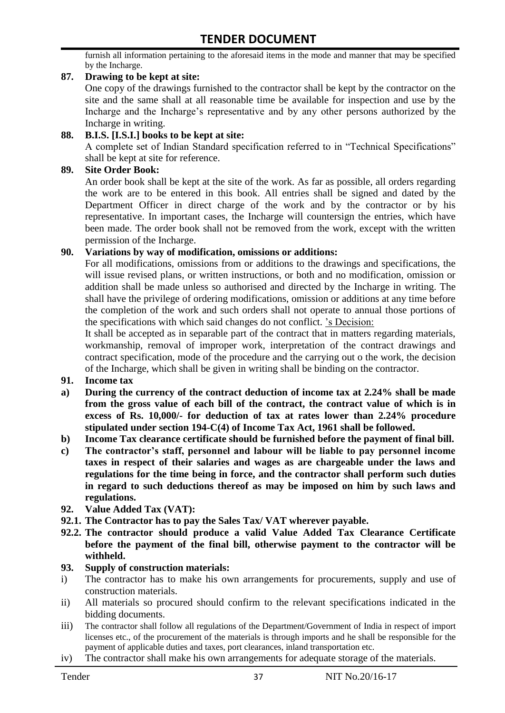furnish all information pertaining to the aforesaid items in the mode and manner that may be specified by the Incharge.

#### **87. Drawing to be kept at site:**

One copy of the drawings furnished to the contractor shall be kept by the contractor on the site and the same shall at all reasonable time be available for inspection and use by the Incharge and the Incharge"s representative and by any other persons authorized by the Incharge in writing.

#### **88. B.I.S. [I.S.I.] books to be kept at site:**

A complete set of Indian Standard specification referred to in "Technical Specifications" shall be kept at site for reference.

#### **89. Site Order Book:**

An order book shall be kept at the site of the work. As far as possible, all orders regarding the work are to be entered in this book. All entries shall be signed and dated by the Department Officer in direct charge of the work and by the contractor or by his representative. In important cases, the Incharge will countersign the entries, which have been made. The order book shall not be removed from the work, except with the written permission of the Incharge.

#### **90. Variations by way of modification, omissions or additions:**

For all modifications, omissions from or additions to the drawings and specifications, the will issue revised plans, or written instructions, or both and no modification, omission or addition shall be made unless so authorised and directed by the Incharge in writing. The shall have the privilege of ordering modifications, omission or additions at any time before the completion of the work and such orders shall not operate to annual those portions of the specifications with which said changes do not conflict. "s Decision:

It shall be accepted as in separable part of the contract that in matters regarding materials, workmanship, removal of improper work, interpretation of the contract drawings and contract specification, mode of the procedure and the carrying out o the work, the decision of the Incharge, which shall be given in writing shall be binding on the contractor.

- **91. Income tax**
- **a) During the currency of the contract deduction of income tax at 2.24% shall be made from the gross value of each bill of the contract, the contract value of which is in excess of Rs. 10,000/- for deduction of tax at rates lower than 2.24% procedure stipulated under section 194-C(4) of Income Tax Act, 1961 shall be followed.**
- **b) Income Tax clearance certificate should be furnished before the payment of final bill.**
- **c) The contractor's staff, personnel and labour will be liable to pay personnel income taxes in respect of their salaries and wages as are chargeable under the laws and regulations for the time being in force, and the contractor shall perform such duties in regard to such deductions thereof as may be imposed on him by such laws and regulations.**
- **92. Value Added Tax (VAT):**
- **92.1. The Contractor has to pay the Sales Tax/ VAT wherever payable.**
- **92.2. The contractor should produce a valid Value Added Tax Clearance Certificate before the payment of the final bill, otherwise payment to the contractor will be withheld.**

#### **93. Supply of construction materials:**

- i) The contractor has to make his own arrangements for procurements, supply and use of construction materials.
- ii) All materials so procured should confirm to the relevant specifications indicated in the bidding documents.
- iii) The contractor shall follow all regulations of the Department/Government of India in respect of import licenses etc., of the procurement of the materials is through imports and he shall be responsible for the payment of applicable duties and taxes, port clearances, inland transportation etc.
- iv) The contractor shall make his own arrangements for adequate storage of the materials.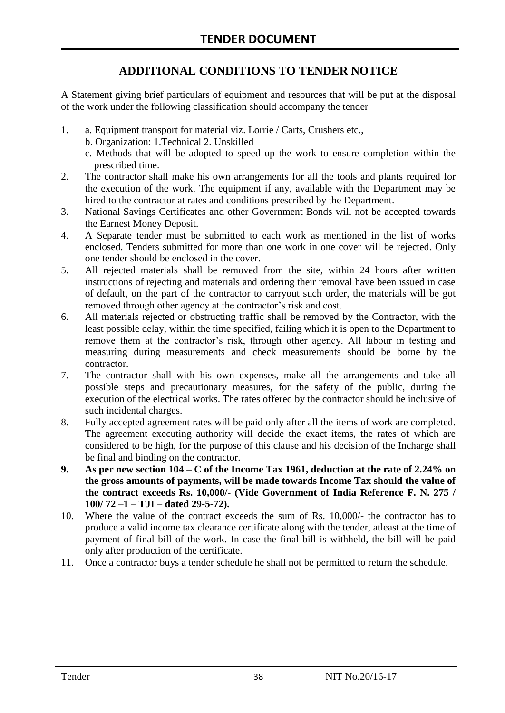# **ADDITIONAL CONDITIONS TO TENDER NOTICE**

A Statement giving brief particulars of equipment and resources that will be put at the disposal of the work under the following classification should accompany the tender

- 1. a. Equipment transport for material viz. Lorrie / Carts, Crushers etc.,
	- b. Organization: 1.Technical 2. Unskilled
	- c. Methods that will be adopted to speed up the work to ensure completion within the prescribed time.
- 2. The contractor shall make his own arrangements for all the tools and plants required for the execution of the work. The equipment if any, available with the Department may be hired to the contractor at rates and conditions prescribed by the Department.
- 3. National Savings Certificates and other Government Bonds will not be accepted towards the Earnest Money Deposit.
- 4. A Separate tender must be submitted to each work as mentioned in the list of works enclosed. Tenders submitted for more than one work in one cover will be rejected. Only one tender should be enclosed in the cover.
- 5. All rejected materials shall be removed from the site, within 24 hours after written instructions of rejecting and materials and ordering their removal have been issued in case of default, on the part of the contractor to carryout such order, the materials will be got removed through other agency at the contractor's risk and cost.
- 6. All materials rejected or obstructing traffic shall be removed by the Contractor, with the least possible delay, within the time specified, failing which it is open to the Department to remove them at the contractor's risk, through other agency. All labour in testing and measuring during measurements and check measurements should be borne by the contractor.
- 7. The contractor shall with his own expenses, make all the arrangements and take all possible steps and precautionary measures, for the safety of the public, during the execution of the electrical works. The rates offered by the contractor should be inclusive of such incidental charges.
- 8. Fully accepted agreement rates will be paid only after all the items of work are completed. The agreement executing authority will decide the exact items, the rates of which are considered to be high, for the purpose of this clause and his decision of the Incharge shall be final and binding on the contractor.
- **9. As per new section 104 – C of the Income Tax 1961, deduction at the rate of 2.24% on the gross amounts of payments, will be made towards Income Tax should the value of the contract exceeds Rs. 10,000/- (Vide Government of India Reference F. N. 275 / 100/ 72 –1 – TJI – dated 29-5-72).**
- 10. Where the value of the contract exceeds the sum of Rs. 10,000/- the contractor has to produce a valid income tax clearance certificate along with the tender, atleast at the time of payment of final bill of the work. In case the final bill is withheld, the bill will be paid only after production of the certificate.
- 11. Once a contractor buys a tender schedule he shall not be permitted to return the schedule.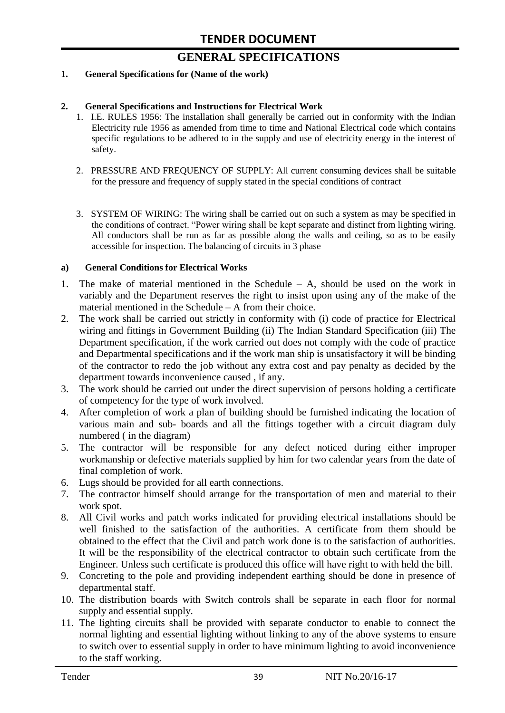# **GENERAL SPECIFICATIONS**

#### **1. General Specifications for (Name of the work)**

#### **2. General Specifications and Instructions for Electrical Work**

- 1. I.E. RULES 1956: The installation shall generally be carried out in conformity with the Indian Electricity rule 1956 as amended from time to time and National Electrical code which contains specific regulations to be adhered to in the supply and use of electricity energy in the interest of safety.
- 2. PRESSURE AND FREQUENCY OF SUPPLY: All current consuming devices shall be suitable for the pressure and frequency of supply stated in the special conditions of contract
- 3. SYSTEM OF WIRING: The wiring shall be carried out on such a system as may be specified in the conditions of contract. "Power wiring shall be kept separate and distinct from lighting wiring. All conductors shall be run as far as possible along the walls and ceiling, so as to be easily accessible for inspection. The balancing of circuits in 3 phase

#### **a) General Conditions for Electrical Works**

- 1. The make of material mentioned in the Schedule A, should be used on the work in variably and the Department reserves the right to insist upon using any of the make of the material mentioned in the Schedule – A from their choice.
- 2. The work shall be carried out strictly in conformity with (i) code of practice for Electrical wiring and fittings in Government Building (ii) The Indian Standard Specification (iii) The Department specification, if the work carried out does not comply with the code of practice and Departmental specifications and if the work man ship is unsatisfactory it will be binding of the contractor to redo the job without any extra cost and pay penalty as decided by the department towards inconvenience caused , if any.
- 3. The work should be carried out under the direct supervision of persons holding a certificate of competency for the type of work involved.
- 4. After completion of work a plan of building should be furnished indicating the location of various main and sub- boards and all the fittings together with a circuit diagram duly numbered ( in the diagram)
- 5. The contractor will be responsible for any defect noticed during either improper workmanship or defective materials supplied by him for two calendar years from the date of final completion of work.
- 6. Lugs should be provided for all earth connections.
- 7. The contractor himself should arrange for the transportation of men and material to their work spot.
- 8. All Civil works and patch works indicated for providing electrical installations should be well finished to the satisfaction of the authorities. A certificate from them should be obtained to the effect that the Civil and patch work done is to the satisfaction of authorities. It will be the responsibility of the electrical contractor to obtain such certificate from the Engineer. Unless such certificate is produced this office will have right to with held the bill.
- 9. Concreting to the pole and providing independent earthing should be done in presence of departmental staff.
- 10. The distribution boards with Switch controls shall be separate in each floor for normal supply and essential supply.
- 11. The lighting circuits shall be provided with separate conductor to enable to connect the normal lighting and essential lighting without linking to any of the above systems to ensure to switch over to essential supply in order to have minimum lighting to avoid inconvenience to the staff working.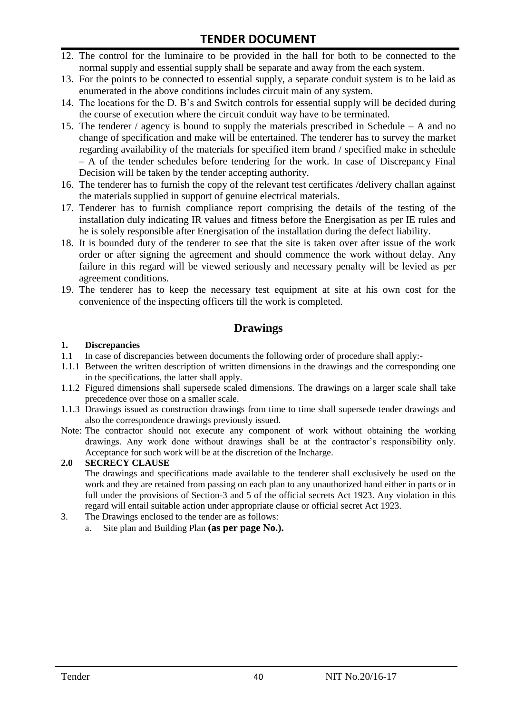- 12. The control for the luminaire to be provided in the hall for both to be connected to the normal supply and essential supply shall be separate and away from the each system.
- 13. For the points to be connected to essential supply, a separate conduit system is to be laid as enumerated in the above conditions includes circuit main of any system.
- 14. The locations for the D. B"s and Switch controls for essential supply will be decided during the course of execution where the circuit conduit way have to be terminated.
- 15. The tenderer / agency is bound to supply the materials prescribed in Schedule A and no change of specification and make will be entertained. The tenderer has to survey the market regarding availability of the materials for specified item brand / specified make in schedule – A of the tender schedules before tendering for the work. In case of Discrepancy Final Decision will be taken by the tender accepting authority.
- 16. The tenderer has to furnish the copy of the relevant test certificates /delivery challan against the materials supplied in support of genuine electrical materials.
- 17. Tenderer has to furnish compliance report comprising the details of the testing of the installation duly indicating IR values and fitness before the Energisation as per IE rules and he is solely responsible after Energisation of the installation during the defect liability.
- 18. It is bounded duty of the tenderer to see that the site is taken over after issue of the work order or after signing the agreement and should commence the work without delay. Any failure in this regard will be viewed seriously and necessary penalty will be levied as per agreement conditions.
- 19. The tenderer has to keep the necessary test equipment at site at his own cost for the convenience of the inspecting officers till the work is completed.

#### **Drawings**

#### **1. Discrepancies**

- 1.1 In case of discrepancies between documents the following order of procedure shall apply:-
- 1.1.1 Between the written description of written dimensions in the drawings and the corresponding one in the specifications, the latter shall apply.
- 1.1.2 Figured dimensions shall supersede scaled dimensions. The drawings on a larger scale shall take precedence over those on a smaller scale.
- 1.1.3 Drawings issued as construction drawings from time to time shall supersede tender drawings and also the correspondence drawings previously issued.
- Note: The contractor should not execute any component of work without obtaining the working drawings. Any work done without drawings shall be at the contractor"s responsibility only. Acceptance for such work will be at the discretion of the Incharge.

#### **2.0 SECRECY CLAUSE**

The drawings and specifications made available to the tenderer shall exclusively be used on the work and they are retained from passing on each plan to any unauthorized hand either in parts or in full under the provisions of Section-3 and 5 of the official secrets Act 1923. Any violation in this regard will entail suitable action under appropriate clause or official secret Act 1923.

- 3. The Drawings enclosed to the tender are as follows:
	- a. Site plan and Building Plan **(as per page No.).**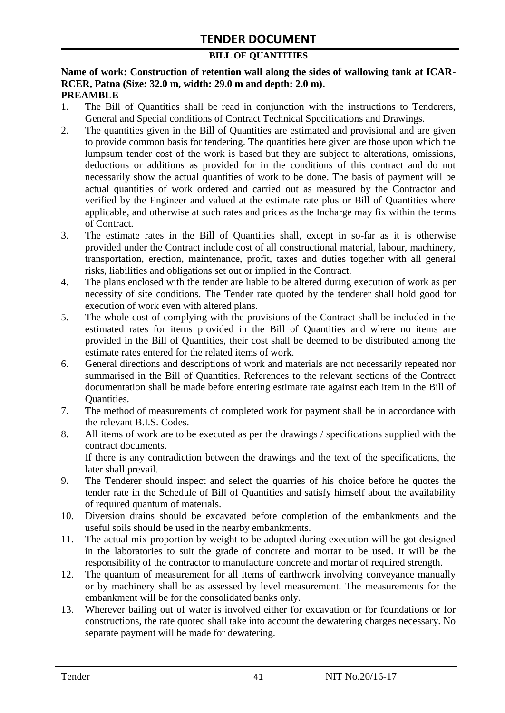#### **BILL OF QUANTITIES**

#### **Name of work: Construction of retention wall along the sides of wallowing tank at ICAR-RCER, Patna (Size: 32.0 m, width: 29.0 m and depth: 2.0 m). PREAMBLE**

- 1. The Bill of Quantities shall be read in conjunction with the instructions to Tenderers, General and Special conditions of Contract Technical Specifications and Drawings.
- 2. The quantities given in the Bill of Quantities are estimated and provisional and are given to provide common basis for tendering. The quantities here given are those upon which the lumpsum tender cost of the work is based but they are subject to alterations, omissions, deductions or additions as provided for in the conditions of this contract and do not necessarily show the actual quantities of work to be done. The basis of payment will be actual quantities of work ordered and carried out as measured by the Contractor and verified by the Engineer and valued at the estimate rate plus or Bill of Quantities where applicable, and otherwise at such rates and prices as the Incharge may fix within the terms of Contract.
- 3. The estimate rates in the Bill of Quantities shall, except in so-far as it is otherwise provided under the Contract include cost of all constructional material, labour, machinery, transportation, erection, maintenance, profit, taxes and duties together with all general risks, liabilities and obligations set out or implied in the Contract.
- 4. The plans enclosed with the tender are liable to be altered during execution of work as per necessity of site conditions. The Tender rate quoted by the tenderer shall hold good for execution of work even with altered plans.
- 5. The whole cost of complying with the provisions of the Contract shall be included in the estimated rates for items provided in the Bill of Quantities and where no items are provided in the Bill of Quantities, their cost shall be deemed to be distributed among the estimate rates entered for the related items of work.
- 6. General directions and descriptions of work and materials are not necessarily repeated nor summarised in the Bill of Quantities. References to the relevant sections of the Contract documentation shall be made before entering estimate rate against each item in the Bill of Quantities.
- 7. The method of measurements of completed work for payment shall be in accordance with the relevant B.I.S. Codes.
- 8. All items of work are to be executed as per the drawings / specifications supplied with the contract documents. If there is any contradiction between the drawings and the text of the specifications, the

later shall prevail.

- 9. The Tenderer should inspect and select the quarries of his choice before he quotes the tender rate in the Schedule of Bill of Quantities and satisfy himself about the availability of required quantum of materials.
- 10. Diversion drains should be excavated before completion of the embankments and the useful soils should be used in the nearby embankments.
- 11. The actual mix proportion by weight to be adopted during execution will be got designed in the laboratories to suit the grade of concrete and mortar to be used. It will be the responsibility of the contractor to manufacture concrete and mortar of required strength.
- 12. The quantum of measurement for all items of earthwork involving conveyance manually or by machinery shall be as assessed by level measurement. The measurements for the embankment will be for the consolidated banks only.
- 13. Wherever bailing out of water is involved either for excavation or for foundations or for constructions, the rate quoted shall take into account the dewatering charges necessary. No separate payment will be made for dewatering.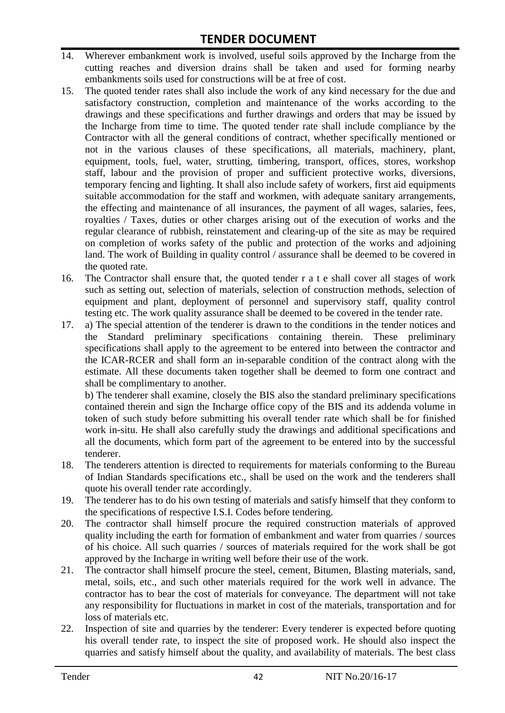- 14. Wherever embankment work is involved, useful soils approved by the Incharge from the cutting reaches and diversion drains shall be taken and used for forming nearby embankments soils used for constructions will be at free of cost.
- 15. The quoted tender rates shall also include the work of any kind necessary for the due and satisfactory construction, completion and maintenance of the works according to the drawings and these specifications and further drawings and orders that may be issued by the Incharge from time to time. The quoted tender rate shall include compliance by the Contractor with all the general conditions of contract, whether specifically mentioned or not in the various clauses of these specifications, all materials, machinery, plant, equipment, tools, fuel, water, strutting, timbering, transport, offices, stores, workshop staff, labour and the provision of proper and sufficient protective works, diversions, temporary fencing and lighting. It shall also include safety of workers, first aid equipments suitable accommodation for the staff and workmen, with adequate sanitary arrangements, the effecting and maintenance of all insurances, the payment of all wages, salaries, fees, royalties / Taxes, duties or other charges arising out of the execution of works and the regular clearance of rubbish, reinstatement and clearing-up of the site as may be required on completion of works safety of the public and protection of the works and adjoining land. The work of Building in quality control / assurance shall be deemed to be covered in the quoted rate.
- 16. The Contractor shall ensure that, the quoted tender r a t e shall cover all stages of work such as setting out, selection of materials, selection of construction methods, selection of equipment and plant, deployment of personnel and supervisory staff, quality control testing etc. The work quality assurance shall be deemed to be covered in the tender rate.
- 17. a) The special attention of the tenderer is drawn to the conditions in the tender notices and the Standard preliminary specifications containing therein. These preliminary specifications shall apply to the agreement to be entered into between the contractor and the ICAR-RCER and shall form an in-separable condition of the contract along with the estimate. All these documents taken together shall be deemed to form one contract and shall be complimentary to another.

b) The tenderer shall examine, closely the BIS also the standard preliminary specifications contained therein and sign the Incharge office copy of the BIS and its addenda volume in token of such study before submitting his overall tender rate which shall be for finished work in-situ. He shall also carefully study the drawings and additional specifications and all the documents, which form part of the agreement to be entered into by the successful tenderer.

- 18. The tenderers attention is directed to requirements for materials conforming to the Bureau of Indian Standards specifications etc., shall be used on the work and the tenderers shall quote his overall tender rate accordingly.
- 19. The tenderer has to do his own testing of materials and satisfy himself that they conform to the specifications of respective I.S.I. Codes before tendering.
- 20. The contractor shall himself procure the required construction materials of approved quality including the earth for formation of embankment and water from quarries / sources of his choice. All such quarries / sources of materials required for the work shall be got approved by the Incharge in writing well before their use of the work.
- 21. The contractor shall himself procure the steel, cement, Bitumen, Blasting materials, sand, metal, soils, etc., and such other materials required for the work well in advance. The contractor has to bear the cost of materials for conveyance. The department will not take any responsibility for fluctuations in market in cost of the materials, transportation and for loss of materials etc.
- 22. Inspection of site and quarries by the tenderer: Every tenderer is expected before quoting his overall tender rate, to inspect the site of proposed work. He should also inspect the quarries and satisfy himself about the quality, and availability of materials. The best class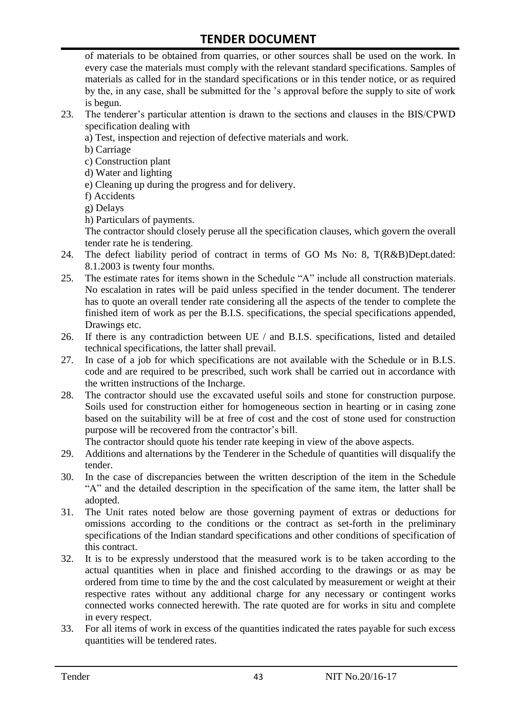of materials to be obtained from quarries, or other sources shall be used on the work. In every case the materials must comply with the relevant standard specifications. Samples of materials as called for in the standard specifications or in this tender notice, or as required by the, in any case, shall be submitted for the "s approval before the supply to site of work is begun.

- 23. The tenderer"s particular attention is drawn to the sections and clauses in the BIS/CPWD specification dealing with
	- a) Test, inspection and rejection of defective materials and work.
	- b) Carriage
	- c) Construction plant
	- d) Water and lighting
	- e) Cleaning up during the progress and for delivery.
	- f) Accidents
	- g) Delays
	- h) Particulars of payments.

The contractor should closely peruse all the specification clauses, which govern the overall tender rate he is tendering.

- 24. The defect liability period of contract in terms of GO Ms No: 8, T(R&B)Dept.dated: 8.1.2003 is twenty four months.
- 25. The estimate rates for items shown in the Schedule "A" include all construction materials. No escalation in rates will be paid unless specified in the tender document. The tenderer has to quote an overall tender rate considering all the aspects of the tender to complete the finished item of work as per the B.I.S. specifications, the special specifications appended, Drawings etc.
- 26. If there is any contradiction between UE / and B.I.S. specifications, listed and detailed technical specifications, the latter shall prevail.
- 27. In case of a job for which specifications are not available with the Schedule or in B.I.S. code and are required to be prescribed, such work shall be carried out in accordance with the written instructions of the Incharge.
- 28. The contractor should use the excavated useful soils and stone for construction purpose. Soils used for construction either for homogeneous section in hearting or in casing zone based on the suitability will be at free of cost and the cost of stone used for construction purpose will be recovered from the contractor's bill.

The contractor should quote his tender rate keeping in view of the above aspects.

- 29. Additions and alternations by the Tenderer in the Schedule of quantities will disqualify the tender.
- 30. In the case of discrepancies between the written description of the item in the Schedule "A" and the detailed description in the specification of the same item, the latter shall be adopted.
- 31. The Unit rates noted below are those governing payment of extras or deductions for omissions according to the conditions or the contract as set-forth in the preliminary specifications of the Indian standard specifications and other conditions of specification of this contract.
- 32. It is to be expressly understood that the measured work is to be taken according to the actual quantities when in place and finished according to the drawings or as may be ordered from time to time by the and the cost calculated by measurement or weight at their respective rates without any additional charge for any necessary or contingent works connected works connected herewith. The rate quoted are for works in situ and complete in every respect.
- 33. For all items of work in excess of the quantities indicated the rates payable for such excess quantities will be tendered rates.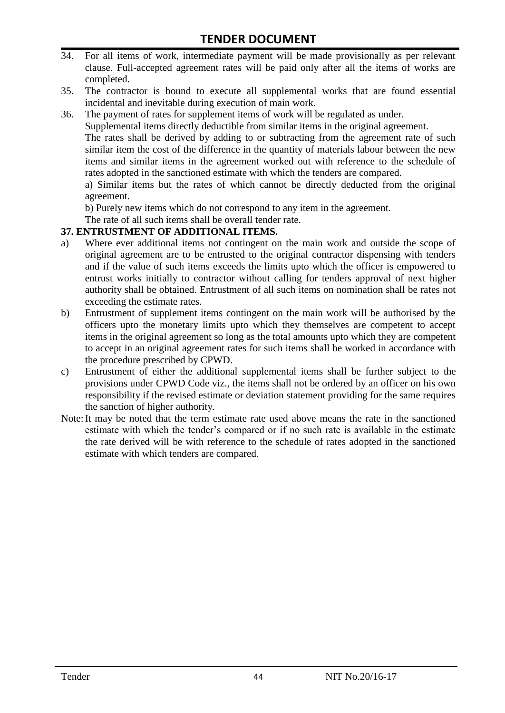- 34. For all items of work, intermediate payment will be made provisionally as per relevant clause. Full-accepted agreement rates will be paid only after all the items of works are completed.
- 35. The contractor is bound to execute all supplemental works that are found essential incidental and inevitable during execution of main work.
- 36. The payment of rates for supplement items of work will be regulated as under.

Supplemental items directly deductible from similar items in the original agreement.

The rates shall be derived by adding to or subtracting from the agreement rate of such similar item the cost of the difference in the quantity of materials labour between the new items and similar items in the agreement worked out with reference to the schedule of rates adopted in the sanctioned estimate with which the tenders are compared.

a) Similar items but the rates of which cannot be directly deducted from the original agreement.

b) Purely new items which do not correspond to any item in the agreement.

The rate of all such items shall be overall tender rate.

#### **37. ENTRUSTMENT OF ADDITIONAL ITEMS.**

- a) Where ever additional items not contingent on the main work and outside the scope of original agreement are to be entrusted to the original contractor dispensing with tenders and if the value of such items exceeds the limits upto which the officer is empowered to entrust works initially to contractor without calling for tenders approval of next higher authority shall be obtained. Entrustment of all such items on nomination shall be rates not exceeding the estimate rates.
- b) Entrustment of supplement items contingent on the main work will be authorised by the officers upto the monetary limits upto which they themselves are competent to accept items in the original agreement so long as the total amounts upto which they are competent to accept in an original agreement rates for such items shall be worked in accordance with the procedure prescribed by CPWD.
- c) Entrustment of either the additional supplemental items shall be further subject to the provisions under CPWD Code viz., the items shall not be ordered by an officer on his own responsibility if the revised estimate or deviation statement providing for the same requires the sanction of higher authority.
- Note:It may be noted that the term estimate rate used above means the rate in the sanctioned estimate with which the tender"s compared or if no such rate is available in the estimate the rate derived will be with reference to the schedule of rates adopted in the sanctioned estimate with which tenders are compared.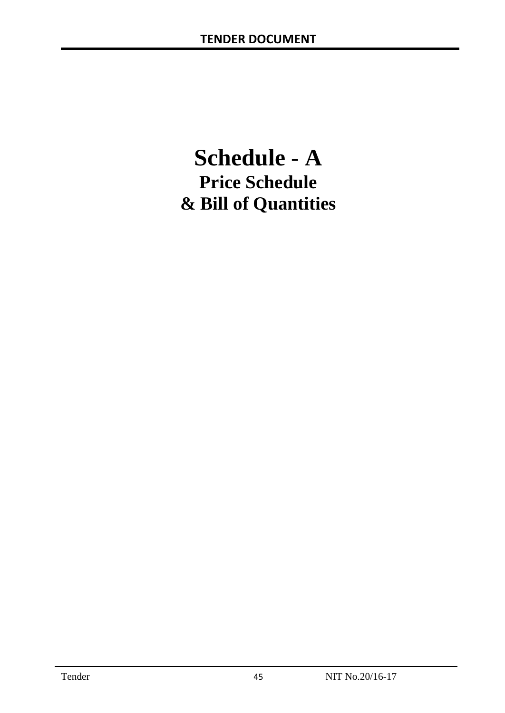# **Schedule - A Price Schedule & Bill of Quantities**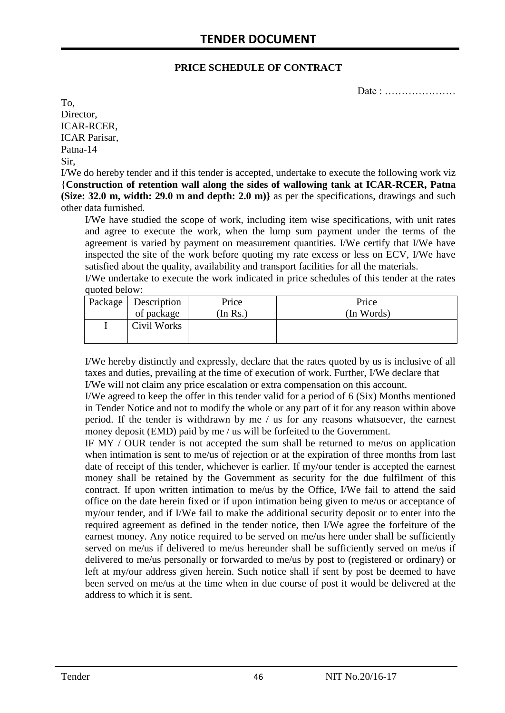#### **PRICE SCHEDULE OF CONTRACT**

Date : …………………

To, Director, ICAR-RCER, ICAR Parisar, Patna-14 Sir,

I/We do hereby tender and if this tender is accepted, undertake to execute the following work viz {**Construction of retention wall along the sides of wallowing tank at ICAR-RCER, Patna (Size: 32.0 m, width: 29.0 m and depth: 2.0 m)** as per the specifications, drawings and such other data furnished.

I/We have studied the scope of work, including item wise specifications, with unit rates and agree to execute the work, when the lump sum payment under the terms of the agreement is varied by payment on measurement quantities. I/We certify that I/We have inspected the site of the work before quoting my rate excess or less on ECV, I/We have satisfied about the quality, availability and transport facilities for all the materials.

I/We undertake to execute the work indicated in price schedules of this tender at the rates quoted below:

| Package   Description | Price   | Price      |
|-----------------------|---------|------------|
| of package            | In Rs.) | (In Words) |
| Civil Works           |         |            |

I/We hereby distinctly and expressly, declare that the rates quoted by us is inclusive of all taxes and duties, prevailing at the time of execution of work. Further, I/We declare that I/We will not claim any price escalation or extra compensation on this account.

I/We agreed to keep the offer in this tender valid for a period of 6 (Six) Months mentioned in Tender Notice and not to modify the whole or any part of it for any reason within above period. If the tender is withdrawn by me / us for any reasons whatsoever, the earnest money deposit (EMD) paid by me / us will be forfeited to the Government.

IF MY / OUR tender is not accepted the sum shall be returned to me/us on application when intimation is sent to me/us of rejection or at the expiration of three months from last date of receipt of this tender, whichever is earlier. If my/our tender is accepted the earnest money shall be retained by the Government as security for the due fulfilment of this contract. If upon written intimation to me/us by the Office, I/We fail to attend the said office on the date herein fixed or if upon intimation being given to me/us or acceptance of my/our tender, and if I/We fail to make the additional security deposit or to enter into the required agreement as defined in the tender notice, then I/We agree the forfeiture of the earnest money. Any notice required to be served on me/us here under shall be sufficiently served on me/us if delivered to me/us hereunder shall be sufficiently served on me/us if delivered to me/us personally or forwarded to me/us by post to (registered or ordinary) or left at my/our address given herein. Such notice shall if sent by post be deemed to have been served on me/us at the time when in due course of post it would be delivered at the address to which it is sent.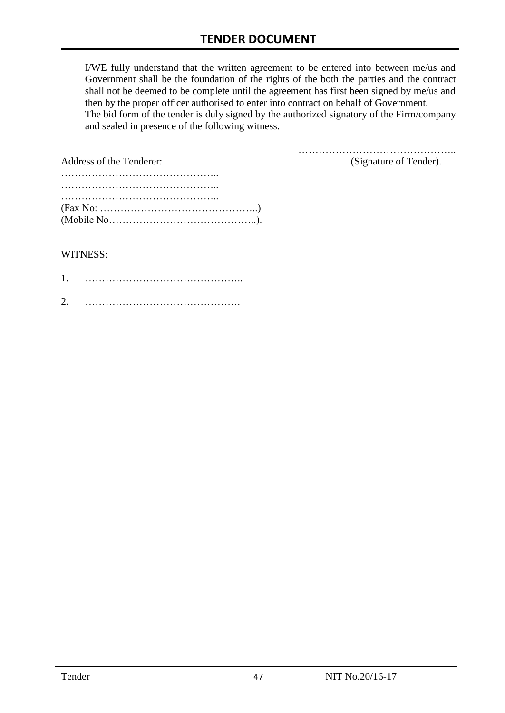I/WE fully understand that the written agreement to be entered into between me/us and Government shall be the foundation of the rights of the both the parties and the contract shall not be deemed to be complete until the agreement has first been signed by me/us and then by the proper officer authorised to enter into contract on behalf of Government. The bid form of the tender is duly signed by the authorized signatory of the Firm/company and sealed in presence of the following witness.

| Address of the Tenderer:                                                                  | (Signature of Tender). |
|-------------------------------------------------------------------------------------------|------------------------|
|                                                                                           |                        |
|                                                                                           |                        |
|                                                                                           |                        |
| $(Fax No: \dots \dots \dots \dots \dots \dots \dots \dots \dots \dots \dots \dots \dots)$ |                        |
|                                                                                           |                        |

#### WITNESS:

| 1 |  |
|---|--|
| ⌒ |  |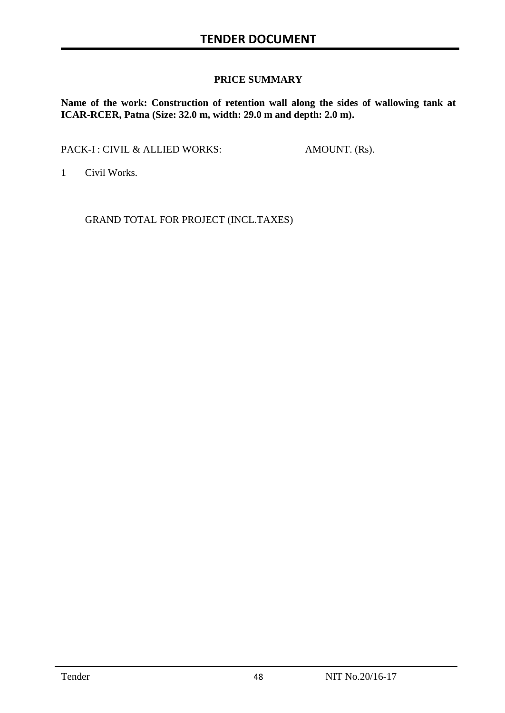#### **PRICE SUMMARY**

**Name of the work: Construction of retention wall along the sides of wallowing tank at ICAR-RCER, Patna (Size: 32.0 m, width: 29.0 m and depth: 2.0 m).**

PACK-I : CIVIL & ALLIED WORKS: AMOUNT. (Rs).

1 Civil Works.

GRAND TOTAL FOR PROJECT (INCL.TAXES)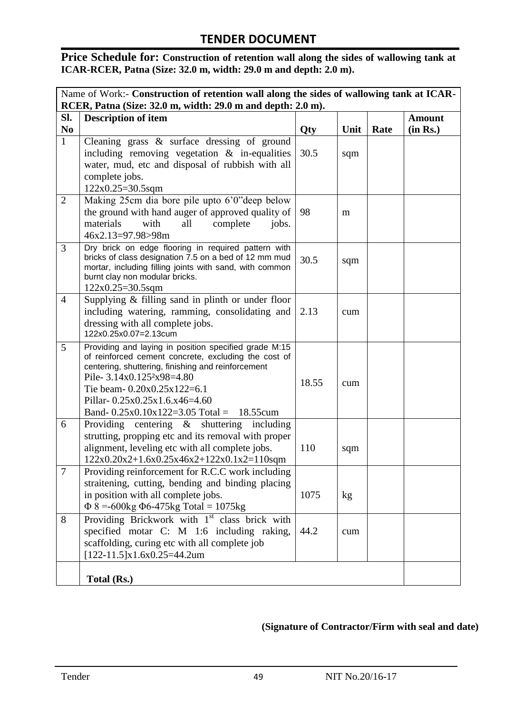Price Schedule for: Construction of retention wall along the sides of wallowing tank at **ICAR-RCER, Patna (Size: 32.0 m, width: 29.0 m and depth: 2.0 m).**

| Name of Work:- Construction of retention wall along the sides of wallowing tank at ICAR- |                                                                                                                                                                                                                                                                                                                         |       |      |      |                           |
|------------------------------------------------------------------------------------------|-------------------------------------------------------------------------------------------------------------------------------------------------------------------------------------------------------------------------------------------------------------------------------------------------------------------------|-------|------|------|---------------------------|
|                                                                                          | RCER, Patna (Size: 32.0 m, width: 29.0 m and depth: 2.0 m).                                                                                                                                                                                                                                                             |       |      |      |                           |
| SI.<br>N <sub>0</sub>                                                                    | <b>Description of item</b>                                                                                                                                                                                                                                                                                              | Qty   | Unit | Rate | <b>Amount</b><br>(in Rs.) |
| $\mathbf{1}$                                                                             | Cleaning grass & surface dressing of ground<br>including removing vegetation $\&$ in-equalities<br>water, mud, etc and disposal of rubbish with all<br>complete jobs.                                                                                                                                                   | 30.5  | sqm  |      |                           |
| 2                                                                                        | 122x0.25=30.5sqm<br>Making 25cm dia bore pile upto 6'0" deep below<br>the ground with hand auger of approved quality of<br>materials<br>with<br>all<br>complete<br>jobs.<br>46x2.13=97.98>98m                                                                                                                           | 98    | m    |      |                           |
| $\overline{3}$                                                                           | Dry brick on edge flooring in required pattern with<br>bricks of class designation 7.5 on a bed of 12 mm mud<br>mortar, including filling joints with sand, with common<br>burnt clay non modular bricks.<br>$122x0.25=30.5sqm$                                                                                         | 30.5  | sqm  |      |                           |
| $\overline{4}$                                                                           | Supplying $&$ filling sand in plinth or under floor<br>including watering, ramming, consolidating and<br>dressing with all complete jobs.<br>122x0.25x0.07=2.13cum                                                                                                                                                      | 2.13  | cum  |      |                           |
| 5                                                                                        | Providing and laying in position specified grade M:15<br>of reinforced cement concrete, excluding the cost of<br>centering, shuttering, finishing and reinforcement<br>Pile- $3.14x0.1252x98=4.80$<br>Tie beam- $0.20x0.25x122=6.1$<br>Pillar- 0.25x0.25x1.6.x46=4.60<br>Band- $0.25x0.10x122=3.05$ Total =<br>18.55cum | 18.55 | cum  |      |                           |
| 6                                                                                        | Providing centering $\&$ shuttering including<br>strutting, propping etc and its removal with proper<br>alignment, leveling etc with all complete jobs.<br>$122x0.20x2+1.6x0.25x46x2+122x0.1x2=110$ sqm                                                                                                                 | 110   | sqm  |      |                           |
| $\tau$                                                                                   | Providing reinforcement for R.C.C work including<br>straitening, cutting, bending and binding placing<br>in position with all complete jobs.<br>$\Phi$ 8 = -600kg $\Phi$ 6-475kg Total = 1075kg                                                                                                                         | 1075  | kg   |      |                           |
| 8                                                                                        | Providing Brickwork with 1 <sup>st</sup> class brick with<br>specified motar C: M 1:6 including raking,<br>scaffolding, curing etc with all complete job<br>$[122-11.5]x1.6x0.25=44.2um$                                                                                                                                | 44.2  | cum  |      |                           |
|                                                                                          | Total (Rs.)                                                                                                                                                                                                                                                                                                             |       |      |      |                           |

#### **(Signature of Contractor/Firm with seal and date)**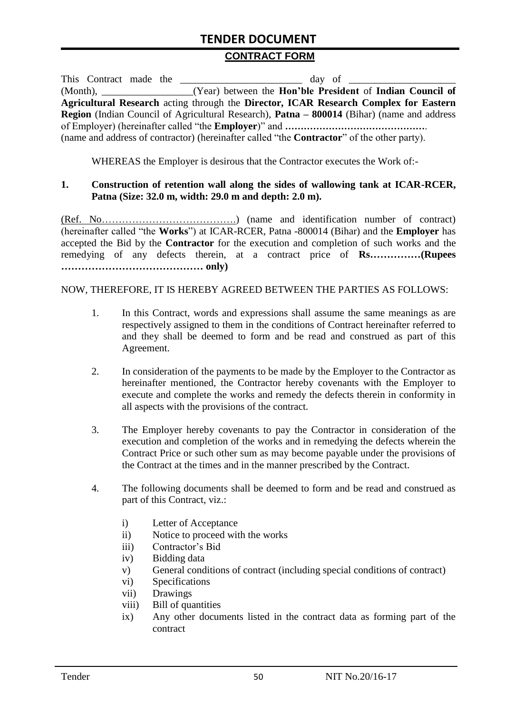#### **CONTRACT FORM**

| This Contract made the |                                                                                                          |
|------------------------|----------------------------------------------------------------------------------------------------------|
|                        | (Month), _______________(Year) between the Hon'ble President of Indian Council of                        |
|                        | Agricultural Research acting through the Director, ICAR Research Complex for Eastern                     |
|                        | <b>Region</b> (Indian Council of Agricultural Research), <b>Patna – 800014</b> (Bihar) (name and address |
|                        |                                                                                                          |
|                        | (name and address of contractor) (hereinafter called "the <b>Contractor</b> " of the other party).       |

WHEREAS the Employer is desirous that the Contractor executes the Work of:-

#### **1. Construction of retention wall along the sides of wallowing tank at ICAR-RCER, Patna (Size: 32.0 m, width: 29.0 m and depth: 2.0 m).**

(Ref. No………………………………….) (name and identification number of contract) (hereinafter called "the **Works**") at ICAR-RCER, Patna -800014 (Bihar) and the **Employer** has accepted the Bid by the **Contractor** for the execution and completion of such works and the remedying of any defects therein, at a contract price of **Rs……………(Rupees …………………………………… only)**

#### NOW, THEREFORE, IT IS HEREBY AGREED BETWEEN THE PARTIES AS FOLLOWS:

- 1. In this Contract, words and expressions shall assume the same meanings as are respectively assigned to them in the conditions of Contract hereinafter referred to and they shall be deemed to form and be read and construed as part of this Agreement.
- 2. In consideration of the payments to be made by the Employer to the Contractor as hereinafter mentioned, the Contractor hereby covenants with the Employer to execute and complete the works and remedy the defects therein in conformity in all aspects with the provisions of the contract.
- 3. The Employer hereby covenants to pay the Contractor in consideration of the execution and completion of the works and in remedying the defects wherein the Contract Price or such other sum as may become payable under the provisions of the Contract at the times and in the manner prescribed by the Contract.
- 4. The following documents shall be deemed to form and be read and construed as part of this Contract, viz.:
	- i) Letter of Acceptance
	- ii) Notice to proceed with the works
	- iii) Contractor's Bid
	- iv) Bidding data
	- v) General conditions of contract (including special conditions of contract)
	- vi) Specifications
	- vii) Drawings
	- viii) Bill of quantities
	- ix) Any other documents listed in the contract data as forming part of the contract